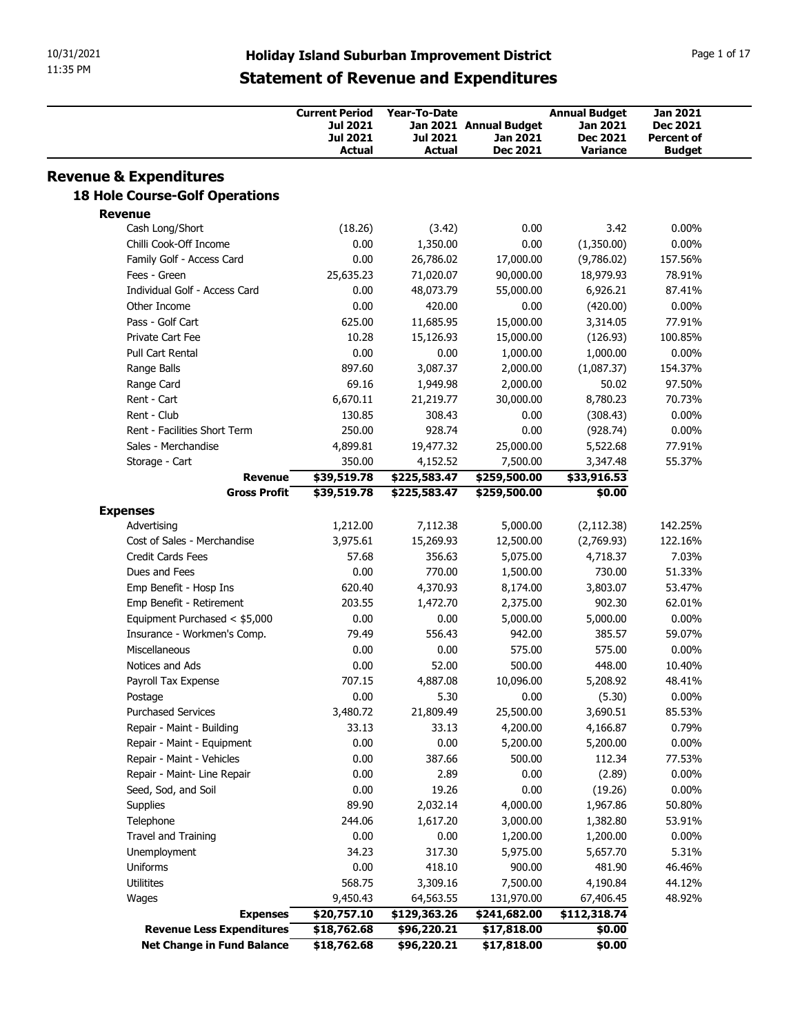| 10/31/2021 |                                                              |                                  |                       |                                                     |                           |                             |
|------------|--------------------------------------------------------------|----------------------------------|-----------------------|-----------------------------------------------------|---------------------------|-----------------------------|
|            |                                                              |                                  |                       |                                                     |                           |                             |
|            |                                                              |                                  |                       |                                                     |                           |                             |
|            |                                                              |                                  |                       |                                                     |                           |                             |
|            |                                                              |                                  |                       |                                                     |                           |                             |
|            |                                                              |                                  |                       |                                                     |                           |                             |
| 11:35 PM   |                                                              |                                  |                       | <b>Holiday Island Suburban Improvement District</b> |                           | Page 1 of 17                |
|            |                                                              |                                  |                       | <b>Statement of Revenue and Expenditures</b>        |                           |                             |
|            |                                                              | <b>Current Period</b>            | Year-To-Date          |                                                     | <b>Annual Budget</b>      | Jan 2021                    |
|            |                                                              | <b>Jul 2021</b>                  |                       | Jan 2021 Annual Budget                              | Jan 2021                  | Dec 2021                    |
|            |                                                              | <b>Jul 2021</b><br><b>Actual</b> | Jul 2021<br>Actual    | Jan 2021<br><b>Dec 2021</b>                         | Dec 2021<br>Variance      | Percent of<br><b>Budget</b> |
|            |                                                              |                                  |                       |                                                     |                           |                             |
|            | <b>Revenue &amp; Expenditures</b>                            |                                  |                       |                                                     |                           |                             |
|            | <b>18 Hole Course-Golf Operations</b>                        |                                  |                       |                                                     |                           |                             |
|            | <b>Revenue</b><br>Cash Long/Short                            | (18.26)                          | (3.42)                | 0.00                                                | 3.42                      | $0.00\%$                    |
|            | Chilli Cook-Off Income                                       | 0.00                             | 1,350.00              | 0.00                                                | (1,350.00)                | $0.00\%$                    |
|            | Family Golf - Access Card                                    | 0.00                             | 26,786.02             | 17,000.00                                           | (9,786.02)                | 157.56%                     |
|            | Fees - Green                                                 | 25,635.23                        | 71,020.07             | 90,000.00                                           | 18,979.93                 | 78.91%                      |
|            | Individual Golf - Access Card                                | 0.00                             | 48,073.79             | 55,000.00                                           | 6,926.21                  | 87.41%                      |
|            | Other Income<br>Pass - Golf Cart                             | 0.00<br>625.00                   | 420.00<br>11,685.95   | 0.00<br>15,000.00                                   | (420.00)<br>3,314.05      | $0.00\%$<br>77.91%          |
|            | Private Cart Fee                                             | 10.28                            | 15,126.93             | 15,000.00                                           | (126.93)                  | 100.85%                     |
|            | Pull Cart Rental                                             | 0.00                             | 0.00                  | 1,000.00                                            | 1,000.00                  | $0.00\%$                    |
|            | Range Balls                                                  | 897.60                           | 3,087.37              | 2,000.00                                            | (1,087.37)                | 154.37%                     |
|            | Range Card                                                   | 69.16                            | 1,949.98              | 2,000.00                                            | 50.02                     | 97.50%                      |
|            | Rent - Cart                                                  | 6,670.11                         | 21,219.77             | 30,000.00                                           | 8,780.23                  | 70.73%                      |
|            | Rent - Club<br>Rent - Facilities Short Term                  | 130.85<br>250.00                 | 308.43<br>928.74      | 0.00<br>0.00                                        | (308.43)<br>(928.74)      | $0.00\%$<br>$0.00\%$        |
|            | Sales - Merchandise                                          | 4,899.81                         | 19,477.32             | 25,000.00                                           | 5,522.68                  | 77.91%                      |
|            | Storage - Cart                                               | 350.00                           | 4,152.52              | 7,500.00                                            | 3,347.48                  | 55.37%                      |
|            | <b>Revenue</b>                                               | \$39,519.78                      | \$225,583.47          | \$259,500.00                                        | \$33,916.53               |                             |
|            | <b>Gross Profit</b>                                          | \$39,519.78                      | \$225,583.47          | \$259,500.00                                        | \$0.00                    |                             |
|            | <b>Expenses</b>                                              |                                  |                       |                                                     |                           | 142.25%                     |
|            | Advertising<br>Cost of Sales - Merchandise                   | 1,212.00<br>3,975.61             | 7,112.38<br>15,269.93 | 5,000.00<br>12,500.00                               | (2, 112.38)<br>(2,769.93) | 122.16%                     |
|            | Credit Cards Fees                                            | 57.68                            | 356.63                | 5,075.00                                            | 4,718.37                  | 7.03%                       |
|            | Dues and Fees                                                | 0.00                             | 770.00                | 1,500.00                                            | 730.00                    | 51.33%                      |
|            | Emp Benefit - Hosp Ins                                       | 620.40                           | 4,370.93              | 8,174.00                                            | 3,803.07                  | 53.47%                      |
|            | Emp Benefit - Retirement                                     | 203.55                           | 1,472.70              | 2,375.00                                            | 902.30                    | 62.01%                      |
|            | Equipment Purchased < \$5,000<br>Insurance - Workmen's Comp. | 0.00<br>79.49                    | 0.00<br>556.43        | 5,000.00<br>942.00                                  | 5,000.00<br>385.57        | $0.00\%$<br>59.07%          |
|            | Miscellaneous                                                | 0.00                             | 0.00                  | 575.00                                              | 575.00                    | $0.00\%$                    |
|            | Notices and Ads                                              | 0.00                             | 52.00                 | 500.00                                              | 448.00                    | 10.40%                      |
|            | Payroll Tax Expense                                          | 707.15                           | 4,887.08              | 10,096.00                                           | 5,208.92                  | 48.41%                      |
|            | Postage                                                      | 0.00                             | 5.30                  | 0.00                                                | (5.30)                    | $0.00\%$                    |
|            | <b>Purchased Services</b>                                    | 3,480.72                         | 21,809.49             | 25,500.00                                           | 3,690.51                  | 85.53%                      |
|            | Repair - Maint - Building<br>Repair - Maint - Equipment      | 33.13<br>0.00                    | 33.13<br>0.00         | 4,200.00<br>5,200.00                                | 4,166.87<br>5,200.00      | 0.79%<br>$0.00\%$           |
|            | Repair - Maint - Vehicles                                    | 0.00                             | 387.66                | 500.00                                              | 112.34                    | 77.53%                      |
|            | Repair - Maint- Line Repair                                  | 0.00                             | 2.89                  | 0.00                                                | (2.89)                    | $0.00\%$                    |
|            | Seed, Sod, and Soil                                          | 0.00                             | 19.26                 | 0.00                                                | (19.26)                   | $0.00\%$                    |
|            | Supplies                                                     | 89.90                            | 2,032.14              | 4,000.00                                            | 1,967.86                  | 50.80%                      |
|            | Telephone                                                    | 244.06                           | 1,617.20              | 3,000.00                                            | 1,382.80                  | 53.91%                      |
|            | Travel and Training                                          | 0.00                             | 0.00                  | 1,200.00                                            | 1,200.00                  | $0.00\%$                    |
|            | Unemployment<br>Uniforms                                     | 34.23<br>0.00                    | 317.30<br>418.10      | 5,975.00<br>900.00                                  | 5,657.70<br>481.90        | 5.31%<br>46.46%             |
|            | Utilitites                                                   | 568.75                           | 3,309.16              | 7,500.00                                            | 4,190.84                  | 44.12%                      |
|            | Wages                                                        | 9,450.43                         | 64,563.55             | 131,970.00                                          | 67,406.45                 | 48.92%                      |
|            | <b>Expenses</b>                                              | \$20,757.10                      | \$129,363.26          | \$241,682.00                                        | \$112,318.74              |                             |
|            | <b>Revenue Less Expenditures</b>                             | \$18,762.68                      | \$96,220.21           |                                                     |                           |                             |
|            | Net Change in Fund Balance                                   | \$18,762.68                      | \$96,220.21           | \$17,818.00<br>\$17,818.00                          | \$0.00<br>\$0.00          |                             |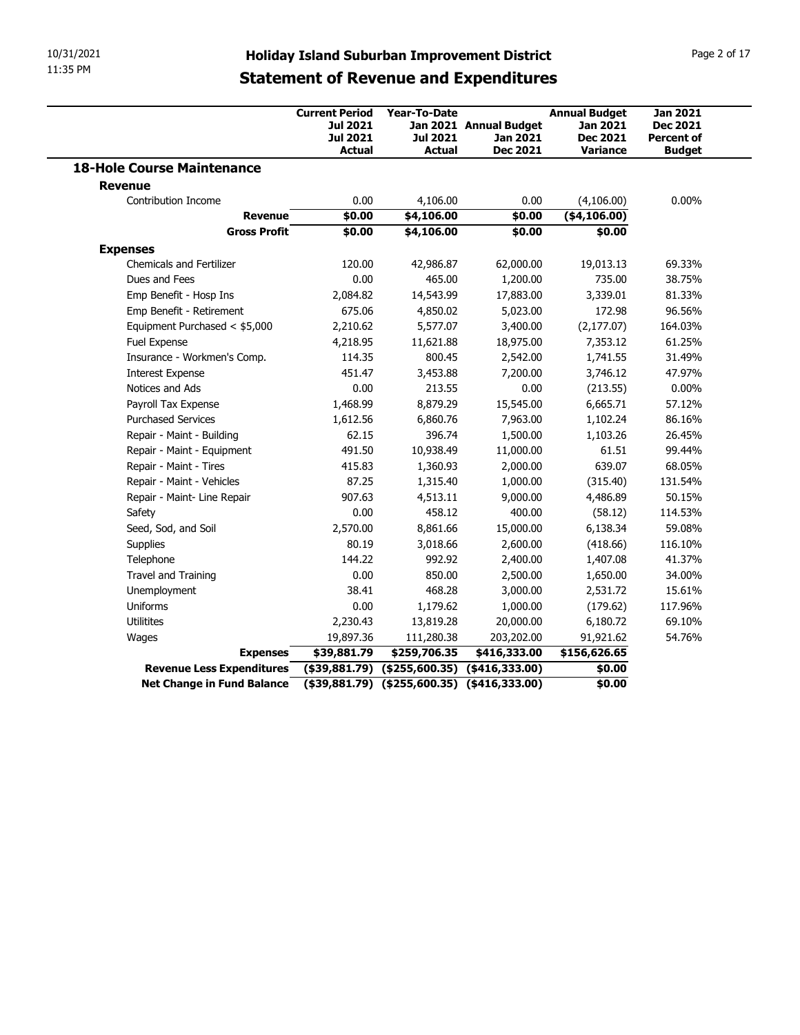| 10/31/2021<br>11:35 PM |                                                    |                                                             |                                                      |                                           |                                                     |                                                         |
|------------------------|----------------------------------------------------|-------------------------------------------------------------|------------------------------------------------------|-------------------------------------------|-----------------------------------------------------|---------------------------------------------------------|
|                        |                                                    |                                                             |                                                      |                                           |                                                     |                                                         |
|                        |                                                    |                                                             |                                                      |                                           |                                                     |                                                         |
|                        |                                                    | <b>Holiday Island Suburban Improvement District</b>         |                                                      |                                           |                                                     | Page 2 of 17                                            |
|                        |                                                    | <b>Statement of Revenue and Expenditures</b>                |                                                      |                                           |                                                     |                                                         |
|                        |                                                    |                                                             |                                                      |                                           |                                                     |                                                         |
|                        |                                                    | <b>Current Period</b><br><b>Jul 2021</b><br><b>Jul 2021</b> | <b>Year-To-Date</b><br><b>Jul 2021</b>               | Jan 2021 Annual Budget<br><b>Jan 2021</b> | <b>Annual Budget</b><br>Jan 2021<br><b>Dec 2021</b> | <b>Jan 2021</b><br><b>Dec 2021</b><br><b>Percent of</b> |
|                        | <b>18-Hole Course Maintenance</b>                  | <b>Actual</b>                                               | <b>Actual</b>                                        | <b>Dec 2021</b>                           | <b>Variance</b>                                     | <b>Budget</b>                                           |
| <b>Revenue</b>         |                                                    |                                                             |                                                      |                                           |                                                     |                                                         |
|                        | Contribution Income                                | 0.00                                                        | 4,106.00                                             | 0.00                                      | (4,106.00)                                          | $0.00\%$                                                |
|                        | <b>Revenue</b><br><b>Gross Profit</b>              | \$0.00<br>\$0.00                                            | \$4,106.00<br>\$4,106.00                             | \$0.00<br>\$0.00                          | ( \$4,106.00)<br>\$0.00                             |                                                         |
| <b>Expenses</b>        |                                                    |                                                             |                                                      |                                           |                                                     |                                                         |
|                        | <b>Chemicals and Fertilizer</b>                    | 120.00                                                      | 42,986.87                                            | 62,000.00                                 | 19,013.13                                           | 69.33%                                                  |
|                        | Dues and Fees                                      | 0.00                                                        | 465.00                                               | 1,200.00                                  | 735.00                                              | 38.75%                                                  |
|                        | Emp Benefit - Hosp Ins<br>Emp Benefit - Retirement | 2,084.82<br>675.06                                          | 14,543.99<br>4,850.02                                | 17,883.00<br>5,023.00                     | 3,339.01<br>172.98                                  | 81.33%<br>96.56%                                        |
|                        | Equipment Purchased < \$5,000                      | 2,210.62                                                    | 5,577.07                                             | 3,400.00                                  | (2, 177.07)                                         | 164.03%                                                 |
|                        | Fuel Expense                                       | 4,218.95                                                    | 11,621.88                                            | 18,975.00                                 | 7,353.12                                            | 61.25%                                                  |
|                        | Insurance - Workmen's Comp.                        | 114.35                                                      | 800.45                                               | 2,542.00                                  | 1,741.55                                            | 31.49%                                                  |
|                        | <b>Interest Expense</b>                            | 451.47                                                      | 3,453.88                                             | 7,200.00                                  | 3,746.12                                            | 47.97%                                                  |
|                        | Notices and Ads<br>Payroll Tax Expense             | 0.00                                                        | 213.55<br>8,879.29                                   | 0.00                                      | (213.55)                                            | $0.00\%$<br>57.12%                                      |
|                        | <b>Purchased Services</b>                          | 1,468.99<br>1,612.56                                        | 6,860.76                                             | 15,545.00<br>7,963.00                     | 6,665.71<br>1,102.24                                | 86.16%                                                  |
|                        | Repair - Maint - Building                          | 62.15                                                       | 396.74                                               | 1,500.00                                  | 1,103.26                                            | 26.45%                                                  |
|                        | Repair - Maint - Equipment                         | 491.50                                                      | 10,938.49                                            | 11,000.00                                 | 61.51                                               | 99.44%                                                  |
|                        | Repair - Maint - Tires                             | 415.83                                                      | 1,360.93                                             | 2,000.00                                  | 639.07                                              | 68.05%                                                  |
|                        | Repair - Maint - Vehicles                          | 87.25                                                       | 1,315.40                                             | 1,000.00                                  | (315.40)                                            | 131.54%                                                 |
|                        | Repair - Maint- Line Repair<br>Safety              | 907.63<br>0.00                                              | 4,513.11<br>458.12                                   | 9,000.00<br>400.00                        | 4,486.89<br>(58.12)                                 | 50.15%<br>114.53%                                       |
|                        | Seed, Sod, and Soil                                | 2,570.00                                                    | 8,861.66                                             | 15,000.00                                 | 6,138.34                                            | 59.08%                                                  |
|                        | Supplies                                           | 80.19                                                       | 3,018.66                                             | 2,600.00                                  | (418.66)                                            | 116.10%                                                 |
|                        | Telephone                                          | 144.22                                                      | 992.92                                               | 2,400.00                                  | 1,407.08                                            | 41.37%                                                  |
|                        | Travel and Training                                | 0.00                                                        | 850.00                                               | 2,500.00                                  | 1,650.00                                            | 34.00%                                                  |
|                        | Unemployment                                       | 38.41                                                       | 468.28                                               | 3,000.00                                  | 2,531.72                                            | 15.61%                                                  |
|                        | Uniforms                                           | 0.00                                                        | 1,179.62                                             | 1,000.00                                  | (179.62)                                            | 117.96%                                                 |
|                        | Utilitites<br>Wages                                | 2,230.43<br>19,897.36                                       | 13,819.28<br>111,280.38                              | 20,000.00<br>203,202.00                   | 6,180.72<br>91,921.62                               | 69.10%<br>54.76%                                        |
|                        | <b>Expenses</b>                                    | \$39,881.79                                                 | \$259,706.35                                         | \$416,333.00                              | \$156,626.65                                        |                                                         |
|                        | Revenue Less Expenditures                          |                                                             | $($ \$39,881.79) $($ \$255,600.35) $($ \$416,333.00) |                                           | \$0.00                                              |                                                         |
|                        |                                                    | <b>Net Change in Fund Balance</b>                           | $($39,881.79)$ $($255,600.35)$ $($416,333.00)$       |                                           |                                                     |                                                         |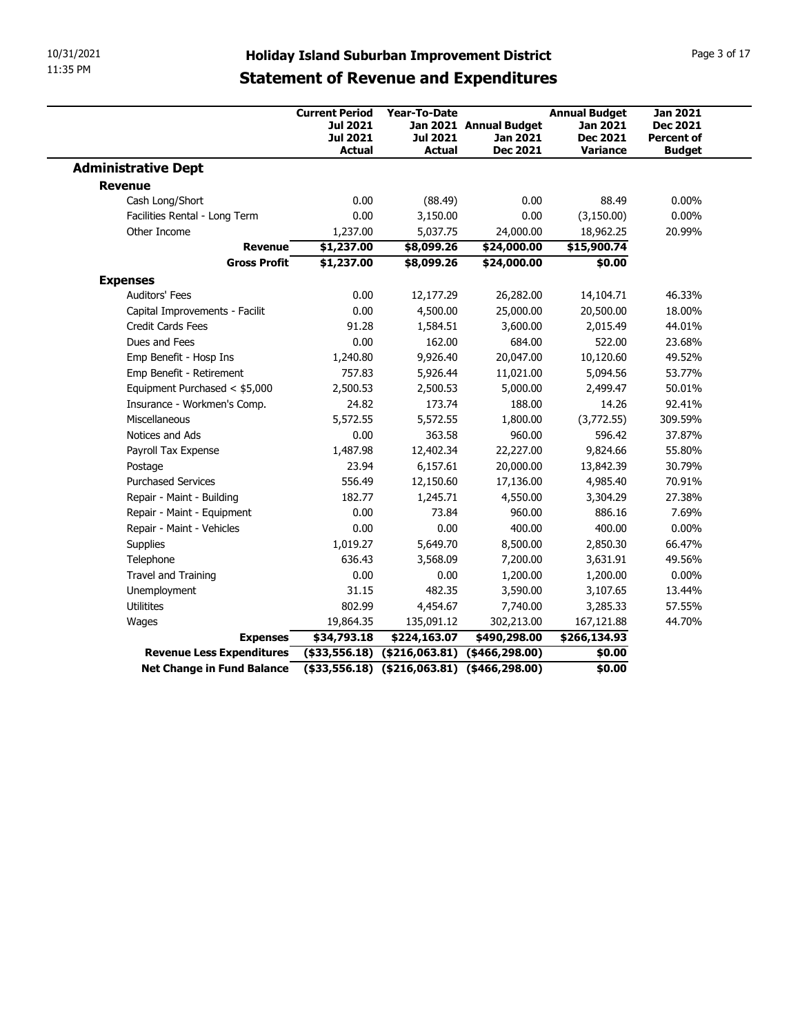| 10/31/2021<br>11:35 PM                                         |                       |                                                                                                              |                                                     |                      |                   |
|----------------------------------------------------------------|-----------------------|--------------------------------------------------------------------------------------------------------------|-----------------------------------------------------|----------------------|-------------------|
|                                                                |                       |                                                                                                              |                                                     |                      |                   |
|                                                                |                       |                                                                                                              |                                                     |                      |                   |
|                                                                |                       |                                                                                                              | <b>Holiday Island Suburban Improvement District</b> |                      | Page 3 of 17      |
|                                                                |                       |                                                                                                              | <b>Statement of Revenue and Expenditures</b>        |                      |                   |
|                                                                |                       |                                                                                                              |                                                     |                      |                   |
|                                                                | <b>Current Period</b> | Year-To-Date                                                                                                 |                                                     | <b>Annual Budget</b> | <b>Jan 2021</b>   |
|                                                                | Jul 2021              |                                                                                                              | Jan 2021 Annual Budget                              | Jan 2021             | <b>Dec 2021</b>   |
|                                                                | <b>Jul 2021</b>       | Jul 2021                                                                                                     | <b>Jan 2021</b>                                     | <b>Dec 2021</b>      | <b>Percent of</b> |
|                                                                | <b>Actual</b>         | <b>Actual</b>                                                                                                | <b>Dec 2021</b>                                     | Variance             | <b>Budget</b>     |
| <b>Administrative Dept</b>                                     |                       |                                                                                                              |                                                     |                      |                   |
| <b>Revenue</b>                                                 |                       |                                                                                                              |                                                     |                      |                   |
| Cash Long/Short                                                | 0.00                  | (88.49)                                                                                                      | 0.00                                                | 88.49                | $0.00\%$          |
| Facilities Rental - Long Term                                  | 0.00                  | 3,150.00                                                                                                     | 0.00                                                | (3,150.00)           | $0.00\%$          |
| Other Income                                                   | 1,237.00              | 5,037.75                                                                                                     | 24,000.00                                           | 18,962.25            | 20.99%            |
| <b>Revenue</b>                                                 | \$1,237.00            | \$8,099.26                                                                                                   | \$24,000.00                                         | \$15,900.74          |                   |
| <b>Gross Profit</b>                                            | \$1,237.00            | \$8,099.26                                                                                                   | \$24,000.00                                         | \$0.00               |                   |
| <b>Expenses</b>                                                |                       |                                                                                                              |                                                     |                      |                   |
| Auditors' Fees                                                 | 0.00                  | 12,177.29                                                                                                    | 26,282.00                                           | 14,104.71            | 46.33%            |
| Capital Improvements - Facilit                                 | 0.00                  | 4,500.00                                                                                                     | 25,000.00                                           | 20,500.00            | 18.00%            |
| Credit Cards Fees                                              | 91.28                 | 1,584.51                                                                                                     | 3,600.00                                            | 2,015.49             | 44.01%            |
| Dues and Fees                                                  | 0.00                  | 162.00                                                                                                       | 684.00                                              | 522.00               | 23.68%            |
| Emp Benefit - Hosp Ins                                         | 1,240.80              | 9,926.40                                                                                                     | 20,047.00                                           | 10,120.60            | 49.52%            |
| Emp Benefit - Retirement                                       | 757.83                | 5,926.44                                                                                                     | 11,021.00                                           | 5,094.56             | 53.77%            |
| Equipment Purchased < \$5,000                                  | 2,500.53              | 2,500.53                                                                                                     | 5,000.00                                            | 2,499.47             | 50.01%            |
| Insurance - Workmen's Comp.                                    | 24.82                 | 173.74                                                                                                       | 188.00                                              | 14.26                | 92.41%            |
| Miscellaneous                                                  | 5,572.55              | 5,572.55                                                                                                     | 1,800.00                                            | (3,772.55)           | 309.59%           |
| Notices and Ads                                                | 0.00                  | 363.58                                                                                                       | 960.00                                              | 596.42               | 37.87%            |
| Payroll Tax Expense                                            | 1,487.98              | 12,402.34                                                                                                    | 22,227.00                                           | 9,824.66             | 55.80%            |
| Postage                                                        | 23.94                 | 6,157.61                                                                                                     | 20,000.00                                           | 13,842.39            | 30.79%            |
| <b>Purchased Services</b>                                      | 556.49                | 12,150.60                                                                                                    | 17,136.00                                           | 4,985.40             | 70.91%            |
| Repair - Maint - Building                                      | 182.77                | 1,245.71                                                                                                     | 4,550.00                                            | 3,304.29             | 27.38%            |
| Repair - Maint - Equipment                                     | 0.00                  | 73.84                                                                                                        | 960.00                                              | 886.16               | 7.69%             |
| Repair - Maint - Vehicles                                      | 0.00                  | 0.00                                                                                                         | 400.00                                              | 400.00               | $0.00\%$          |
|                                                                | 1,019.27              | 5,649.70                                                                                                     | 8,500.00                                            | 2,850.30             | 66.47%            |
| Supplies                                                       | 636.43                | 3,568.09                                                                                                     | 7,200.00                                            | 3,631.91             | 49.56%            |
| Telephone                                                      | 0.00                  | 0.00                                                                                                         | 1,200.00                                            | 1,200.00             | $0.00\%$          |
| Travel and Training                                            | 31.15                 | 482.35                                                                                                       | 3,590.00                                            | 3,107.65             | 13.44%            |
| Unemployment                                                   |                       | 4,454.67                                                                                                     | 7,740.00                                            | 3,285.33             | 57.55%            |
| Utilitites                                                     | 802.99                | 135,091.12                                                                                                   | 302,213.00                                          | 167,121.88           | 44.70%            |
| Wages                                                          | 19,864.35             |                                                                                                              |                                                     |                      |                   |
| <b>Expenses</b>                                                | \$34,793.18           | \$224,163.07                                                                                                 | \$490,298.00                                        | \$266,134.93         |                   |
| Revenue Less Expenditures<br><b>Net Change in Fund Balance</b> |                       | $($ \$33,556.18) $($ \$216,063.81) $($ \$466,298.00)<br>$($ \$33,556.18) $($ \$216,063.81) $($ \$466,298.00) |                                                     | \$0.00<br>\$0.00     |                   |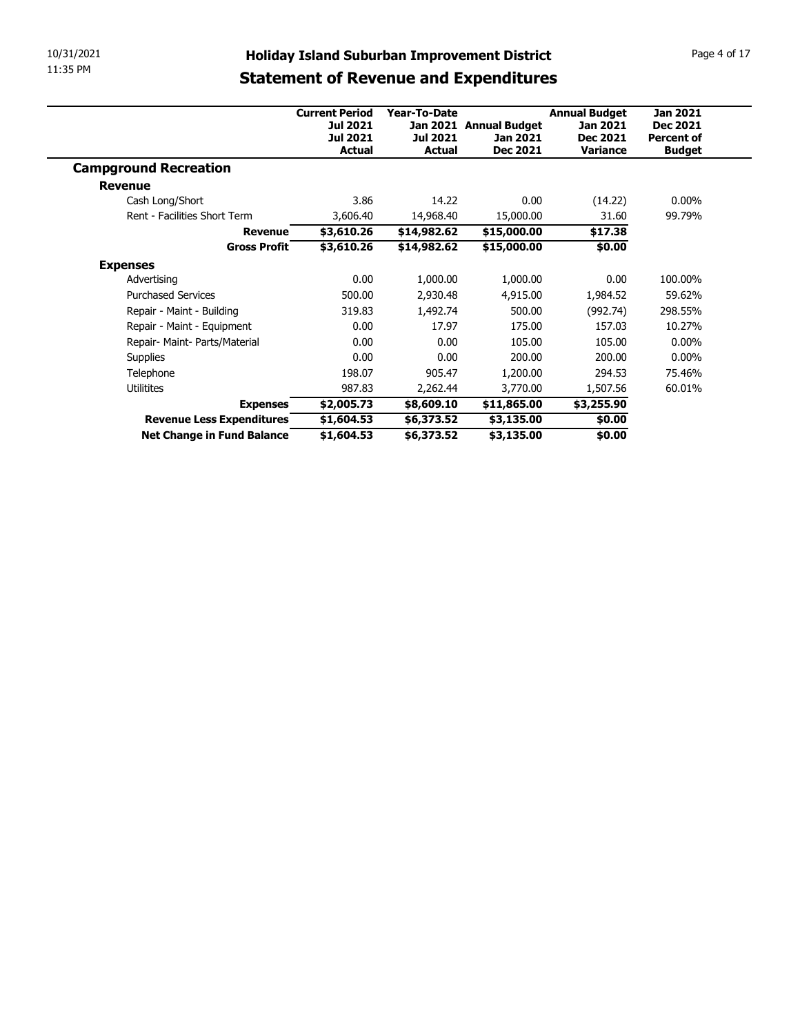| 10/31/2021                                              | <b>Holiday Island Suburban Improvement District</b> |                          |                          |                                  |                                    | Page 4 of 17 |  |  |
|---------------------------------------------------------|-----------------------------------------------------|--------------------------|--------------------------|----------------------------------|------------------------------------|--------------|--|--|
| 11:35 PM                                                |                                                     |                          |                          |                                  |                                    |              |  |  |
|                                                         | <b>Statement of Revenue and Expenditures</b>        |                          |                          |                                  |                                    |              |  |  |
|                                                         |                                                     |                          |                          |                                  |                                    |              |  |  |
|                                                         | <b>Current Period</b><br>Jul 2021                   | Year-To-Date             | Jan 2021 Annual Budget   | <b>Annual Budget</b><br>Jan 2021 | <b>Jan 2021</b><br><b>Dec 2021</b> |              |  |  |
|                                                         | <b>Jul 2021</b>                                     | <b>Jul 2021</b>          | Jan 2021                 | Dec 2021                         | <b>Percent of</b>                  |              |  |  |
|                                                         | <b>Actual</b>                                       | <b>Actual</b>            | <b>Dec 2021</b>          | <b>Variance</b>                  | <b>Budget</b>                      |              |  |  |
|                                                         |                                                     |                          |                          |                                  |                                    |              |  |  |
| <b>Campground Recreation</b>                            |                                                     |                          |                          |                                  |                                    |              |  |  |
| <b>Revenue</b>                                          |                                                     |                          |                          |                                  |                                    |              |  |  |
| Cash Long/Short                                         | 3.86                                                | 14.22                    | 0.00                     | (14.22)                          | $0.00\%$                           |              |  |  |
| Rent - Facilities Short Term                            | 3,606.40                                            | 14,968.40                | 15,000.00                | 31.60                            | 99.79%                             |              |  |  |
| <b>Revenue</b>                                          | \$3,610.26                                          | \$14,982.62              | \$15,000.00              | \$17.38                          |                                    |              |  |  |
| <b>Gross Profit</b>                                     | \$3,610.26                                          | \$14,982.62              | \$15,000.00              | \$0.00                           |                                    |              |  |  |
|                                                         |                                                     |                          |                          |                                  |                                    |              |  |  |
| <b>Expenses</b><br>Advertising                          | 0.00                                                | 1,000.00                 | 1,000.00                 | 0.00                             | 100.00%                            |              |  |  |
| <b>Purchased Services</b>                               | 500.00                                              | 2,930.48                 | 4,915.00                 | 1,984.52                         | 59.62%                             |              |  |  |
| Repair - Maint - Building                               | 319.83                                              | 1,492.74                 | 500.00                   | (992.74)                         | 298.55%                            |              |  |  |
| Repair - Maint - Equipment                              | 0.00                                                | 17.97                    | 175.00                   | 157.03                           | 10.27%                             |              |  |  |
| Repair- Maint- Parts/Material                           | 0.00                                                | 0.00                     | 105.00                   | 105.00                           | $0.00\%$                           |              |  |  |
| Supplies                                                | 0.00                                                | 0.00                     | 200.00                   | 200.00                           | $0.00\%$                           |              |  |  |
| Telephone                                               | 198.07                                              | 905.47                   | 1,200.00                 | 294.53                           | 75.46%                             |              |  |  |
| Utilitites                                              | 987.83                                              | 2,262.44                 | 3,770.00                 | 1,507.56                         | 60.01%                             |              |  |  |
| <b>Expenses</b>                                         | \$2,005.73                                          | \$8,609.10               | \$11,865.00              | \$3,255.90                       |                                    |              |  |  |
| Revenue Less Expenditures<br>Net Change in Fund Balance | \$1,604.53<br>\$1,604.53                            | \$6,373.52<br>\$6,373.52 | \$3,135.00<br>\$3,135.00 | \$0.00<br>\$0.00                 |                                    |              |  |  |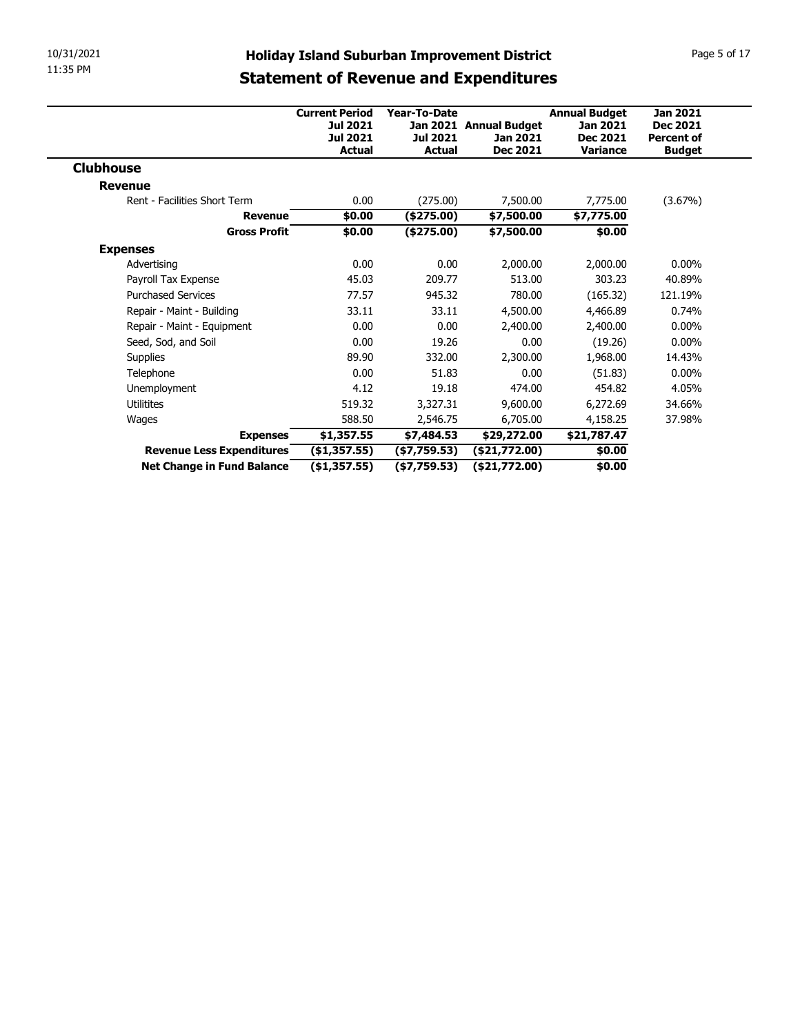| 10/31/2021                                              |                               |                                | <b>Holiday Island Suburban Improvement District</b> |                      | Page 5 of 17      |  |  |
|---------------------------------------------------------|-------------------------------|--------------------------------|-----------------------------------------------------|----------------------|-------------------|--|--|
| 11:35 PM                                                |                               |                                | <b>Statement of Revenue and Expenditures</b>        |                      |                   |  |  |
|                                                         |                               |                                |                                                     |                      |                   |  |  |
|                                                         | <b>Current Period</b>         | Year-To-Date                   |                                                     | <b>Annual Budget</b> | <b>Jan 2021</b>   |  |  |
|                                                         | <b>Jul 2021</b>               |                                | Jan 2021 Annual Budget                              | Jan 2021             | Dec 2021          |  |  |
|                                                         | <b>Jul 2021</b>               | Jul 2021                       | Jan 2021                                            | <b>Dec 2021</b>      | <b>Percent of</b> |  |  |
|                                                         | <b>Actual</b>                 | <b>Actual</b>                  | <b>Dec 2021</b>                                     | Variance             | <b>Budget</b>     |  |  |
| <b>Clubhouse</b>                                        |                               |                                |                                                     |                      |                   |  |  |
|                                                         |                               |                                |                                                     |                      |                   |  |  |
| <b>Revenue</b>                                          |                               | (275.00)                       | 7,500.00                                            | 7,775.00             | (3.67%)           |  |  |
| Rent - Facilities Short Term                            | 0.00                          |                                |                                                     |                      |                   |  |  |
| <b>Revenue</b>                                          | \$0.00                        | (\$275.00)                     | \$7,500.00                                          | \$7,775.00           |                   |  |  |
| <b>Gross Profit</b>                                     | \$0.00                        | (\$275.00)                     | \$7,500.00                                          | \$0.00               |                   |  |  |
| <b>Expenses</b>                                         |                               |                                |                                                     |                      |                   |  |  |
| Advertising                                             | 0.00                          | 0.00                           | 2,000.00                                            | 2,000.00             | $0.00\%$          |  |  |
| Payroll Tax Expense                                     | 45.03                         | 209.77                         | 513.00                                              | 303.23               | 40.89%            |  |  |
| <b>Purchased Services</b>                               | 77.57                         | 945.32                         | 780.00                                              | (165.32)             | 121.19%           |  |  |
| Repair - Maint - Building                               | 33.11                         | 33.11                          | 4,500.00                                            | 4,466.89             | 0.74%             |  |  |
| Repair - Maint - Equipment                              | 0.00                          | 0.00                           | 2,400.00                                            | 2,400.00             | $0.00\%$          |  |  |
| Seed, Sod, and Soil                                     | 0.00                          | 19.26                          | 0.00                                                | (19.26)              | $0.00\%$          |  |  |
| Supplies                                                | 89.90                         | 332.00                         | 2,300.00                                            | 1,968.00             | 14.43%            |  |  |
| Telephone                                               | 0.00                          | 51.83                          | 0.00                                                | (51.83)              | $0.00\%$          |  |  |
| Unemployment                                            | 4.12                          | 19.18                          | 474.00                                              | 454.82               | 4.05%             |  |  |
| Utilitites                                              | 519.32                        | 3,327.31                       | 9,600.00                                            | 6,272.69             | 34.66%            |  |  |
| Wages                                                   | 588.50                        | 2,546.75                       | 6,705.00                                            | 4,158.25             | 37.98%            |  |  |
| <b>Expenses</b>                                         | \$1,357.55                    | \$7,484.53                     | \$29,272.00                                         | \$21,787.47          |                   |  |  |
| Revenue Less Expenditures<br>Net Change in Fund Balance | ( \$1,357.55)<br>(\$1,357.55) | ( \$7,759.53)<br>( \$7,759.53) | (\$21,772.00)<br>( \$21,772.00)                     | \$0.00<br>\$0.00     |                   |  |  |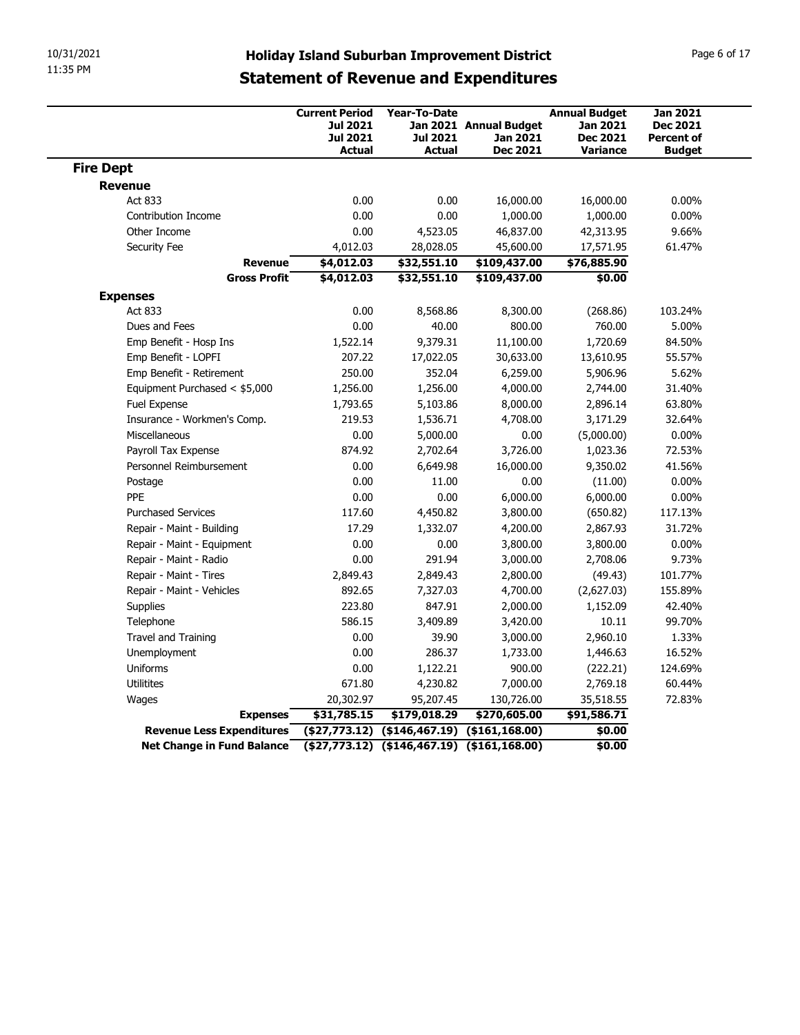| 10/31/2021                                     |                           |                                                                              |                                                  |                                                                                                     |                                                                        |                                                                          |
|------------------------------------------------|---------------------------|------------------------------------------------------------------------------|--------------------------------------------------|-----------------------------------------------------------------------------------------------------|------------------------------------------------------------------------|--------------------------------------------------------------------------|
| 11:35 PM                                       |                           |                                                                              |                                                  | <b>Holiday Island Suburban Improvement District</b><br><b>Statement of Revenue and Expenditures</b> |                                                                        | Page 6 of 17                                                             |
|                                                |                           | <b>Current Period</b><br><b>Jul 2021</b><br><b>Jul 2021</b><br><b>Actual</b> | Year-To-Date<br><b>Jul 2021</b><br><b>Actual</b> | Jan 2021 Annual Budget<br>Jan 2021<br><b>Dec 2021</b>                                               | <b>Annual Budget</b><br>Jan 2021<br><b>Dec 2021</b><br><b>Variance</b> | <b>Jan 2021</b><br><b>Dec 2021</b><br><b>Percent of</b><br><b>Budget</b> |
| <b>Fire Dept</b>                               |                           |                                                                              |                                                  |                                                                                                     |                                                                        |                                                                          |
| <b>Revenue</b>                                 |                           |                                                                              |                                                  |                                                                                                     |                                                                        |                                                                          |
| Act 833                                        |                           | 0.00                                                                         | 0.00                                             | 16,000.00                                                                                           | 16,000.00                                                              | $0.00\%$                                                                 |
| Contribution Income                            |                           | 0.00                                                                         | 0.00                                             | 1,000.00                                                                                            | 1,000.00                                                               | $0.00\%$                                                                 |
| Other Income                                   |                           | 0.00                                                                         | 4,523.05                                         | 46,837.00                                                                                           | 42,313.95                                                              | 9.66%                                                                    |
| Security Fee                                   | <b>Revenue</b>            | 4,012.03<br>\$4,012.03                                                       | 28,028.05<br>\$32,551.10                         | 45,600.00                                                                                           | 17,571.95<br>\$76,885.90                                               | 61.47%                                                                   |
|                                                | <b>Gross Profit</b>       | \$4,012.03                                                                   | \$32,551.10                                      | \$109,437.00<br>\$109,437.00                                                                        | \$0.00                                                                 |                                                                          |
| <b>Expenses</b>                                |                           |                                                                              |                                                  |                                                                                                     |                                                                        |                                                                          |
| Act 833                                        |                           | 0.00                                                                         | 8,568.86                                         | 8,300.00                                                                                            | (268.86)                                                               | 103.24%                                                                  |
| Dues and Fees                                  |                           | 0.00                                                                         | 40.00                                            | 800.00                                                                                              | 760.00                                                                 | 5.00%                                                                    |
| Emp Benefit - Hosp Ins                         |                           | 1,522.14                                                                     | 9,379.31                                         | 11,100.00                                                                                           | 1,720.69                                                               | 84.50%                                                                   |
| Emp Benefit - LOPFI                            |                           | 207.22                                                                       | 17,022.05                                        | 30,633.00                                                                                           | 13,610.95                                                              | 55.57%                                                                   |
| Emp Benefit - Retirement                       |                           | 250.00                                                                       | 352.04                                           | 6,259.00                                                                                            | 5,906.96                                                               | 5.62%                                                                    |
| Equipment Purchased < \$5,000                  |                           | 1,256.00                                                                     | 1,256.00                                         | 4,000.00                                                                                            | 2,744.00                                                               | 31.40%                                                                   |
| Fuel Expense                                   |                           | 1,793.65                                                                     | 5,103.86                                         | 8,000.00                                                                                            | 2,896.14                                                               | 63.80%                                                                   |
| Insurance - Workmen's Comp.                    |                           | 219.53                                                                       | 1,536.71                                         | 4,708.00                                                                                            | 3,171.29                                                               | 32.64%                                                                   |
| Miscellaneous                                  |                           | 0.00                                                                         | 5,000.00                                         | 0.00                                                                                                | (5,000.00)                                                             | $0.00\%$                                                                 |
| Payroll Tax Expense<br>Personnel Reimbursement |                           | 874.92<br>0.00                                                               | 2,702.64<br>6,649.98                             | 3,726.00<br>16,000.00                                                                               | 1,023.36<br>9,350.02                                                   | 72.53%<br>41.56%                                                         |
| Postage                                        |                           | 0.00                                                                         | 11.00                                            | 0.00                                                                                                | (11.00)                                                                | $0.00\%$                                                                 |
| PPE                                            |                           | 0.00                                                                         | 0.00                                             | 6,000.00                                                                                            | 6,000.00                                                               | $0.00\%$                                                                 |
| <b>Purchased Services</b>                      |                           | 117.60                                                                       | 4,450.82                                         | 3,800.00                                                                                            | (650.82)                                                               | 117.13%                                                                  |
| Repair - Maint - Building                      |                           | 17.29                                                                        | 1,332.07                                         | 4,200.00                                                                                            | 2,867.93                                                               | 31.72%                                                                   |
| Repair - Maint - Equipment                     |                           | 0.00                                                                         | 0.00                                             | 3,800.00                                                                                            | 3,800.00                                                               | $0.00\%$                                                                 |
| Repair - Maint - Radio                         |                           | 0.00                                                                         | 291.94                                           | 3,000.00                                                                                            | 2,708.06                                                               | 9.73%                                                                    |
| Repair - Maint - Tires                         |                           | 2,849.43                                                                     | 2,849.43                                         | 2,800.00                                                                                            | (49.43)                                                                | 101.77%                                                                  |
| Repair - Maint - Vehicles                      |                           | 892.65                                                                       | 7,327.03                                         | 4,700.00                                                                                            | (2,627.03)                                                             | 155.89%                                                                  |
| Supplies                                       |                           | 223.80                                                                       | 847.91                                           | 2,000.00                                                                                            | 1,152.09                                                               | 42.40%                                                                   |
| Telephone                                      |                           | 586.15                                                                       | 3,409.89                                         | 3,420.00                                                                                            | 10.11                                                                  | 99.70%                                                                   |
| Travel and Training                            |                           | 0.00                                                                         | 39.90                                            | 3,000.00                                                                                            | 2,960.10                                                               | 1.33%                                                                    |
| Unemployment                                   |                           | 0.00                                                                         | 286.37                                           | 1,733.00                                                                                            | 1,446.63                                                               | 16.52%                                                                   |
| Uniforms                                       |                           | 0.00                                                                         | 1,122.21                                         | 900.00                                                                                              | (222.21)<br>2,769.18                                                   | 124.69%<br>60.44%                                                        |
| Utilitites<br>Wages                            |                           | 671.80<br>20,302.97                                                          | 4,230.82<br>95,207.45                            | 7,000.00<br>130,726.00                                                                              | 35,518.55                                                              | 72.83%                                                                   |
|                                                | <b>Expenses</b>           | \$31,785.15                                                                  | \$179,018.29                                     | \$270,605.00                                                                                        | \$91,586.71                                                            |                                                                          |
|                                                | Revenue Less Expenditures |                                                                              |                                                  |                                                                                                     |                                                                        |                                                                          |
|                                                |                           |                                                                              |                                                  | $($ \$27,773.12) $($ \$146,467.19) $($ \$161,168.00)                                                | \$0.00                                                                 |                                                                          |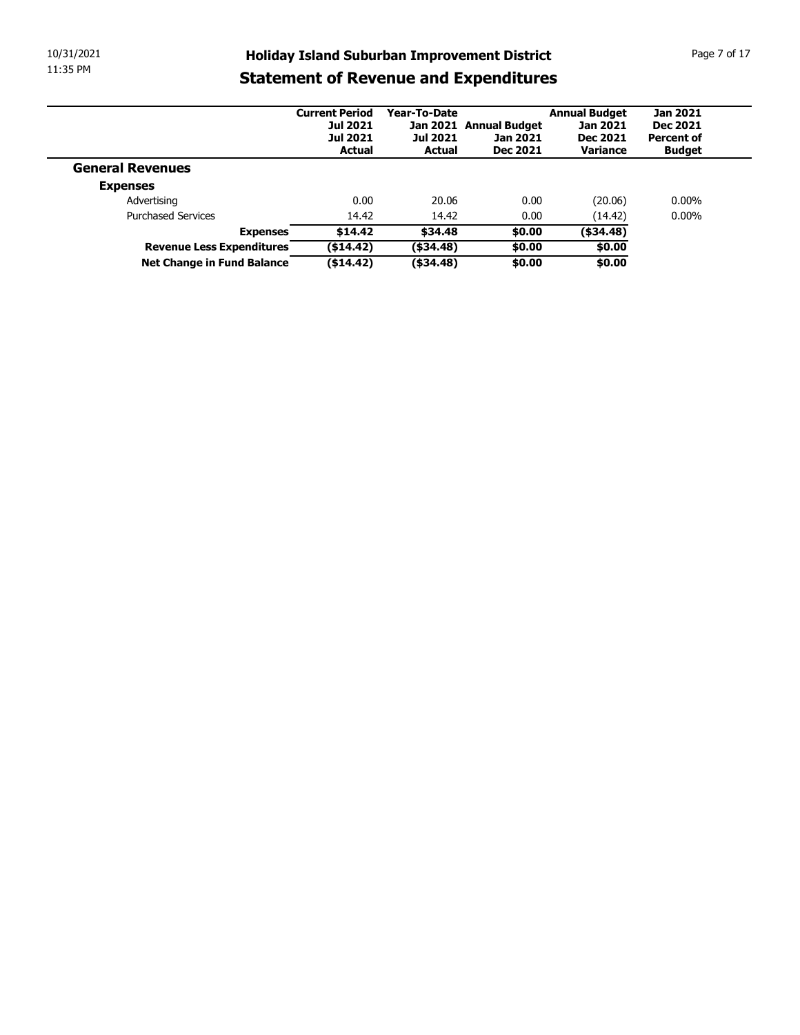| 10/31/2021              |                                                                |                          |                              |                                                     |                      | Page 7 of 17      |
|-------------------------|----------------------------------------------------------------|--------------------------|------------------------------|-----------------------------------------------------|----------------------|-------------------|
| 11:35 PM                |                                                                |                          |                              | <b>Holiday Island Suburban Improvement District</b> |                      |                   |
|                         |                                                                |                          |                              | <b>Statement of Revenue and Expenditures</b>        |                      |                   |
|                         |                                                                | <b>Current Period</b>    | Year-To-Date                 |                                                     | <b>Annual Budget</b> | <b>Jan 2021</b>   |
|                         |                                                                | <b>Jul 2021</b>          |                              | Jan 2021 Annual Budget                              | Jan 2021             | <b>Dec 2021</b>   |
|                         |                                                                | <b>Jul 2021</b>          | <b>Jul 2021</b>              | <b>Jan 2021</b>                                     | <b>Dec 2021</b>      | <b>Percent of</b> |
|                         |                                                                | <b>Actual</b>            | <b>Actual</b>                | <b>Dec 2021</b>                                     | Variance             | <b>Budget</b>     |
| <b>General Revenues</b> |                                                                |                          |                              |                                                     |                      |                   |
| <b>Expenses</b>         |                                                                |                          |                              |                                                     |                      |                   |
|                         | Advertising                                                    | 0.00                     | 20.06                        | 0.00                                                | (20.06)              | $0.00\%$          |
|                         | <b>Purchased Services</b>                                      | 14.42                    | 14.42                        | 0.00                                                | (14.42)              | $0.00\%$          |
|                         | <b>Expenses</b>                                                | \$14.42                  | \$34.48                      | \$0.00                                              | $($ \$34.48)         |                   |
|                         | <b>Revenue Less Expenditures</b><br>Net Change in Fund Balance | ( \$14.42)<br>( \$14.42) | $($ \$34.48)<br>$($ \$34.48) | \$0.00<br>\$0.00                                    | \$0.00<br>\$0.00     |                   |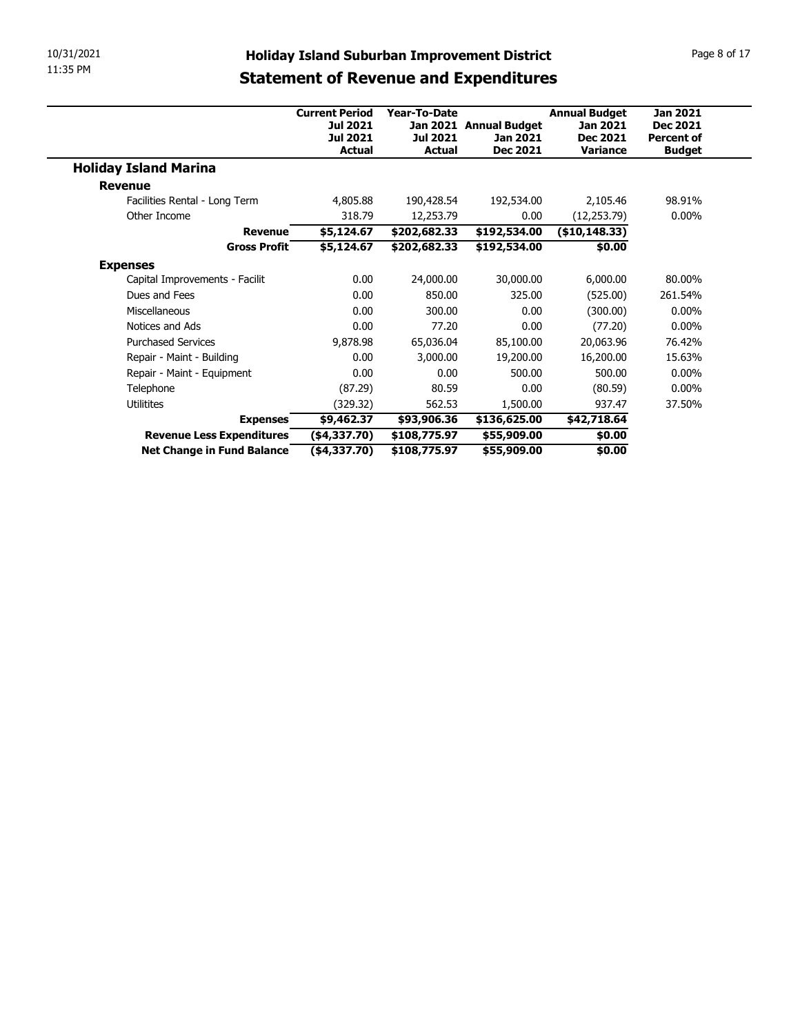| 10/31/2021                                              |                                                     |                              |                                    |                      | Page 8 of 17                       |
|---------------------------------------------------------|-----------------------------------------------------|------------------------------|------------------------------------|----------------------|------------------------------------|
| 11:35 PM                                                | <b>Holiday Island Suburban Improvement District</b> |                              |                                    |                      |                                    |
|                                                         | <b>Statement of Revenue and Expenditures</b>        |                              |                                    |                      |                                    |
|                                                         |                                                     |                              |                                    |                      |                                    |
|                                                         | <b>Current Period</b>                               | Year-To-Date                 |                                    | <b>Annual Budget</b> | <b>Jan 2021</b><br><b>Dec 2021</b> |
|                                                         | <b>Jul 2021</b><br><b>Jul 2021</b>                  | <b>Jul 2021</b>              | Jan 2021 Annual Budget<br>Jan 2021 | Jan 2021<br>Dec 2021 | <b>Percent of</b>                  |
|                                                         | Actual                                              | <b>Actual</b>                | <b>Dec 2021</b>                    | <b>Variance</b>      | <b>Budget</b>                      |
| <b>Holiday Island Marina</b>                            |                                                     |                              |                                    |                      |                                    |
| <b>Revenue</b>                                          |                                                     |                              |                                    |                      |                                    |
|                                                         | 4,805.88                                            | 190,428.54                   | 192,534.00                         | 2,105.46             | 98.91%                             |
| Facilities Rental - Long Term                           |                                                     |                              |                                    |                      |                                    |
| Other Income                                            | 318.79                                              | 12,253.79                    | 0.00                               | (12, 253.79)         | $0.00\%$                           |
| <b>Revenue</b>                                          | \$5,124.67                                          | \$202,682.33                 | \$192,534.00                       | (\$10,148.33)        |                                    |
| <b>Gross Profit</b>                                     | \$5,124.67                                          | \$202,682.33                 | \$192,534.00                       | \$0.00               |                                    |
| <b>Expenses</b>                                         |                                                     |                              |                                    |                      |                                    |
| Capital Improvements - Facilit                          | 0.00                                                | 24,000.00                    | 30,000.00                          | 6,000.00             | 80.00%                             |
| Dues and Fees                                           | 0.00                                                | 850.00                       | 325.00                             | (525.00)             | 261.54%                            |
| Miscellaneous                                           | $0.00\,$                                            | 300.00                       | 0.00                               | (300.00)             | $0.00\%$                           |
| Notices and Ads                                         | 0.00                                                | 77.20                        | 0.00                               | (77.20)              | $0.00\%$                           |
| <b>Purchased Services</b>                               | 9,878.98                                            | 65,036.04                    | 85,100.00                          | 20,063.96            | 76.42%                             |
| Repair - Maint - Building                               | 0.00                                                | 3,000.00                     | 19,200.00                          | 16,200.00            | 15.63%                             |
| Repair - Maint - Equipment                              | 0.00                                                | 0.00                         | 500.00                             | 500.00               | $0.00\%$                           |
| Telephone                                               | (87.29)                                             | 80.59                        | 0.00                               | (80.59)              | $0.00\%$                           |
| Utilitites                                              | (329.32)                                            | 562.53                       | 1,500.00                           | 937.47               | 37.50%                             |
| <b>Expenses</b>                                         | \$9,462.37                                          | \$93,906.36                  | \$136,625.00                       | \$42,718.64          |                                    |
| Revenue Less Expenditures<br>Net Change in Fund Balance | $(*4,337.70)$<br>$(*4,337.70)$                      | \$108,775.97<br>\$108,775.97 | \$55,909.00<br>\$55,909.00         | \$0.00<br>\$0.00     |                                    |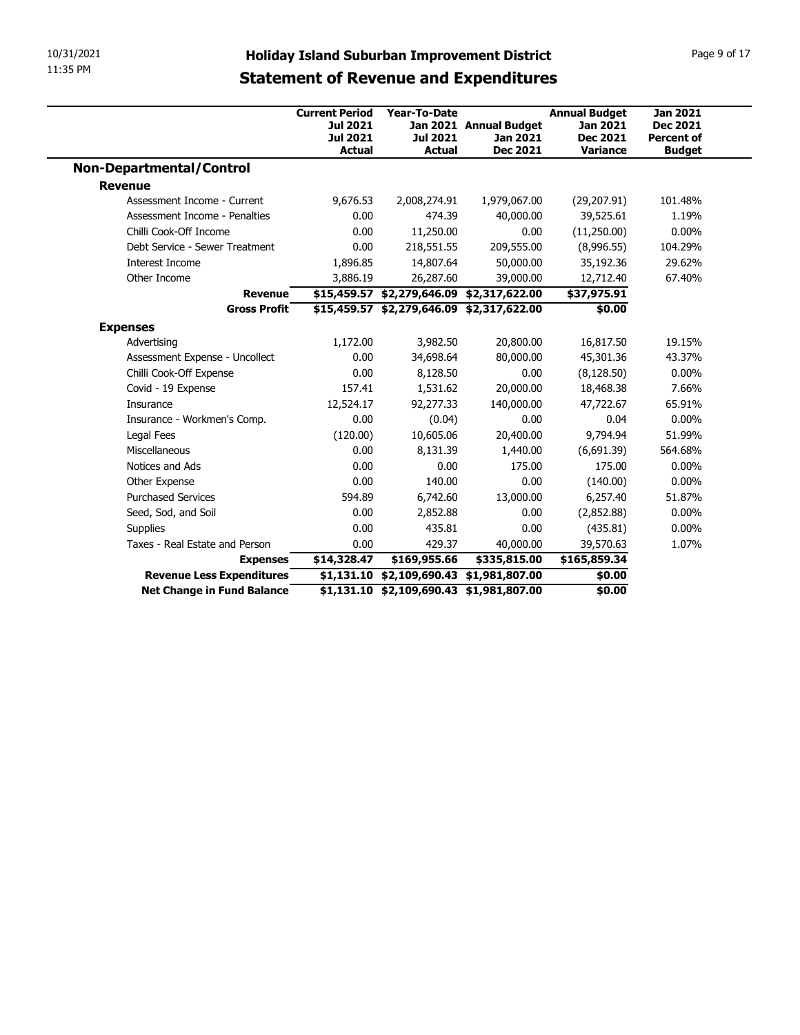|                                                         | <b>Holiday Island Suburban Improvement District</b> |                                           |                                                                                      |                           |                     |
|---------------------------------------------------------|-----------------------------------------------------|-------------------------------------------|--------------------------------------------------------------------------------------|---------------------------|---------------------|
|                                                         |                                                     |                                           |                                                                                      |                           |                     |
|                                                         |                                                     |                                           |                                                                                      |                           |                     |
|                                                         |                                                     |                                           |                                                                                      |                           |                     |
|                                                         |                                                     |                                           |                                                                                      |                           |                     |
|                                                         |                                                     |                                           |                                                                                      |                           |                     |
|                                                         |                                                     |                                           |                                                                                      |                           |                     |
|                                                         |                                                     |                                           |                                                                                      |                           |                     |
|                                                         |                                                     |                                           |                                                                                      |                           |                     |
|                                                         |                                                     |                                           |                                                                                      |                           |                     |
|                                                         |                                                     |                                           |                                                                                      |                           |                     |
|                                                         |                                                     |                                           |                                                                                      |                           |                     |
|                                                         |                                                     |                                           |                                                                                      |                           |                     |
|                                                         |                                                     |                                           |                                                                                      |                           |                     |
| 10/31/2021<br>11:35 PM                                  |                                                     |                                           |                                                                                      |                           |                     |
|                                                         |                                                     |                                           |                                                                                      |                           | Page 9 of 17        |
|                                                         | <b>Statement of Revenue and Expenditures</b>        |                                           |                                                                                      |                           |                     |
|                                                         |                                                     |                                           |                                                                                      |                           |                     |
|                                                         | <b>Current Period</b>                               | Year-To-Date                              |                                                                                      | <b>Annual Budget</b>      | <b>Jan 2021</b>     |
|                                                         | <b>Jul 2021</b>                                     |                                           | Jan 2021 Annual Budget                                                               | Jan 2021                  | <b>Dec 2021</b>     |
|                                                         | <b>Jul 2021</b>                                     | <b>Jul 2021</b>                           | Jan 2021                                                                             | <b>Dec 2021</b>           | <b>Percent of</b>   |
|                                                         | Actual                                              | <b>Actual</b>                             | Dec 2021                                                                             | Variance                  | <b>Budget</b>       |
| <b>Non-Departmental/Control</b>                         |                                                     |                                           |                                                                                      |                           |                     |
| <b>Revenue</b>                                          |                                                     |                                           |                                                                                      |                           |                     |
| Assessment Income - Current                             | 9,676.53                                            | 2,008,274.91                              | 1,979,067.00                                                                         | (29, 207.91)              | 101.48%             |
| Assessment Income - Penalties<br>Chilli Cook-Off Income | 0.00<br>0.00                                        | 474.39                                    | 40,000.00<br>0.00                                                                    | 39,525.61                 | 1.19%               |
| Debt Service - Sewer Treatment                          | 0.00                                                | 11,250.00<br>218,551.55                   | 209,555.00                                                                           | (11,250.00)<br>(8,996.55) | $0.00\%$<br>104.29% |
| Interest Income                                         | 1,896.85                                            | 14,807.64                                 | 50,000.00                                                                            | 35,192.36                 | 29.62%              |
| Other Income                                            | 3,886.19                                            | 26,287.60                                 | 39,000.00                                                                            | 12,712.40                 | 67.40%              |
| <b>Revenue</b>                                          |                                                     | \$15,459.57 \$2,279,646.09 \$2,317,622.00 |                                                                                      | \$37,975.91               |                     |
| <b>Gross Profit</b>                                     |                                                     | \$15,459.57 \$2,279,646.09 \$2,317,622.00 |                                                                                      | \$0.00                    |                     |
| <b>Expenses</b>                                         |                                                     |                                           |                                                                                      |                           |                     |
| Advertising                                             | 1,172.00                                            | 3,982.50                                  | 20,800.00                                                                            | 16,817.50                 | 19.15%              |
| Assessment Expense - Uncollect                          | 0.00                                                | 34,698.64                                 | 80,000.00                                                                            | 45,301.36                 | 43.37%              |
| Chilli Cook-Off Expense                                 | 0.00                                                | 8,128.50                                  | 0.00                                                                                 | (8, 128.50)               | $0.00\%$            |
| Covid - 19 Expense                                      | 157.41                                              | 1,531.62                                  | 20,000.00                                                                            | 18,468.38                 | 7.66%               |
| Insurance                                               | 12,524.17                                           | 92,277.33                                 | 140,000.00                                                                           | 47,722.67                 | 65.91%              |
| Insurance - Workmen's Comp.                             | 0.00                                                | (0.04)                                    | 0.00                                                                                 | 0.04                      | $0.00\%$            |
| Legal Fees                                              | (120.00)                                            | 10,605.06                                 | 20,400.00                                                                            | 9,794.94                  | 51.99%              |
|                                                         | 0.00                                                | 8,131.39                                  | 1,440.00                                                                             | (6,691.39)                | 564.68%             |
| Miscellaneous                                           | 0.00                                                | 0.00                                      | 175.00                                                                               | 175.00                    | $0.00\%$            |
| Notices and Ads                                         | 0.00                                                | 140.00                                    | 0.00                                                                                 | (140.00)                  | $0.00\%$            |
| Other Expense                                           |                                                     | 6,742.60                                  | 13,000.00                                                                            | 6,257.40                  | 51.87%              |
| <b>Purchased Services</b>                               | 594.89                                              | 2,852.88                                  | 0.00                                                                                 | (2,852.88)                | $0.00\%$            |
| Seed, Sod, and Soil                                     | 0.00                                                |                                           | $0.00\,$                                                                             | (435.81)                  | $0.00\%$            |
| Supplies                                                | 0.00                                                | 435.81                                    |                                                                                      | 39,570.63                 | 1.07%               |
| Taxes - Real Estate and Person                          | 0.00                                                | 429.37                                    | 40,000.00                                                                            |                           |                     |
| <b>Expenses</b>                                         | \$14,328.47                                         | \$169,955.66                              | \$335,815.00                                                                         | \$165,859.34              |                     |
| Revenue Less Expenditures<br>Net Change in Fund Balance |                                                     |                                           | \$1,131.10 \$2,109,690.43 \$1,981,807.00<br>\$1,131.10 \$2,109,690.43 \$1,981,807.00 | \$0.00<br>\$0.00          |                     |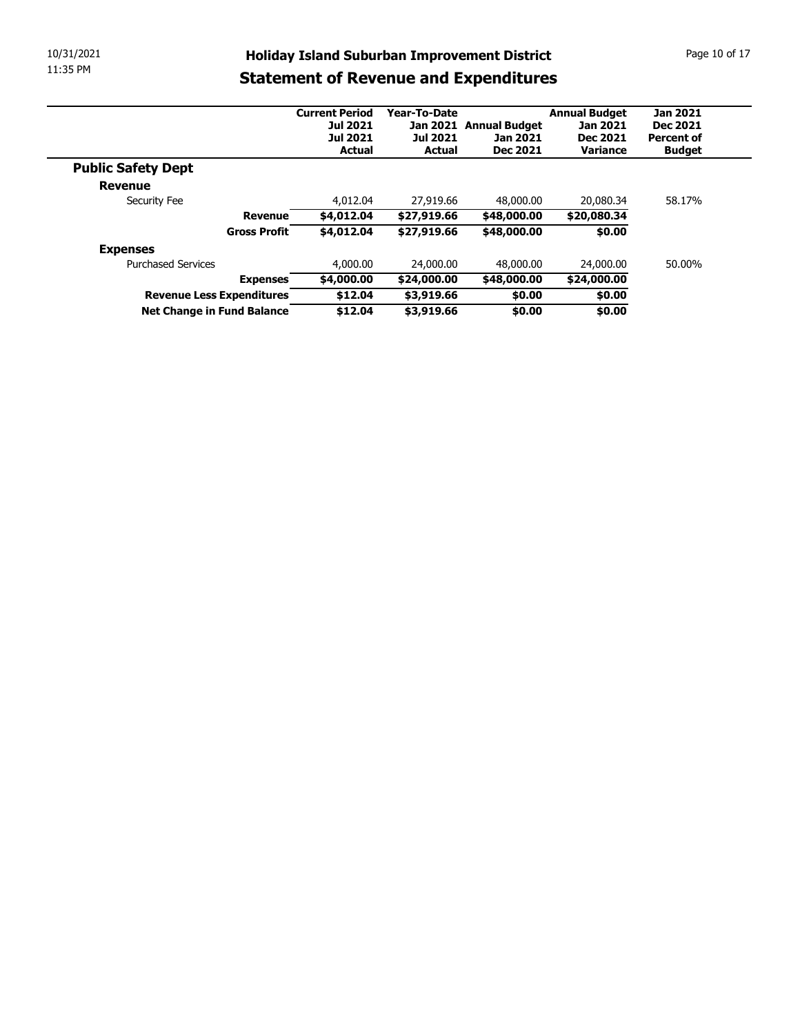| 10/31/2021 |                                              |                                  |                                  | <b>Holiday Island Suburban Improvement District</b> |                             | Page 10 of 17                      |
|------------|----------------------------------------------|----------------------------------|----------------------------------|-----------------------------------------------------|-----------------------------|------------------------------------|
| 11:35 PM   |                                              |                                  |                                  | <b>Statement of Revenue and Expenditures</b>        |                             |                                    |
|            |                                              |                                  |                                  |                                                     |                             |                                    |
|            |                                              | <b>Current Period</b>            | Year-To-Date                     |                                                     | <b>Annual Budget</b>        | <b>Jan 2021</b>                    |
|            |                                              | <b>Jul 2021</b>                  |                                  | Jan 2021 Annual Budget                              | Jan 2021                    | Dec 2021                           |
|            |                                              | <b>Jul 2021</b><br><b>Actual</b> | <b>Jul 2021</b><br><b>Actual</b> | Jan 2021<br>Dec 2021                                | <b>Dec 2021</b><br>Variance | <b>Percent of</b><br><b>Budget</b> |
|            | <b>Public Safety Dept</b>                    |                                  |                                  |                                                     |                             |                                    |
|            | Revenue                                      |                                  |                                  |                                                     |                             |                                    |
|            | Security Fee                                 | 4,012.04                         | 27,919.66                        | 48,000.00                                           | 20,080.34                   | 58.17%                             |
|            | <b>Revenue</b>                               | \$4,012.04                       | \$27,919.66                      | \$48,000.00                                         | \$20,080.34                 |                                    |
|            | Gross Profit                                 | \$4,012.04                       | \$27,919.66                      | \$48,000.00                                         | \$0.00                      |                                    |
|            |                                              |                                  |                                  |                                                     |                             |                                    |
|            | <b>Expenses</b><br><b>Purchased Services</b> | 4,000.00                         | 24,000.00                        | 48,000.00                                           | 24,000.00                   | 50.00%                             |
|            | <b>Expenses</b>                              | \$4,000.00                       | \$24,000.00                      | \$48,000.00                                         | \$24,000.00                 |                                    |
|            | Revenue Less Expenditures                    | \$12.04                          | \$3,919.66                       | \$0.00                                              | \$0.00                      |                                    |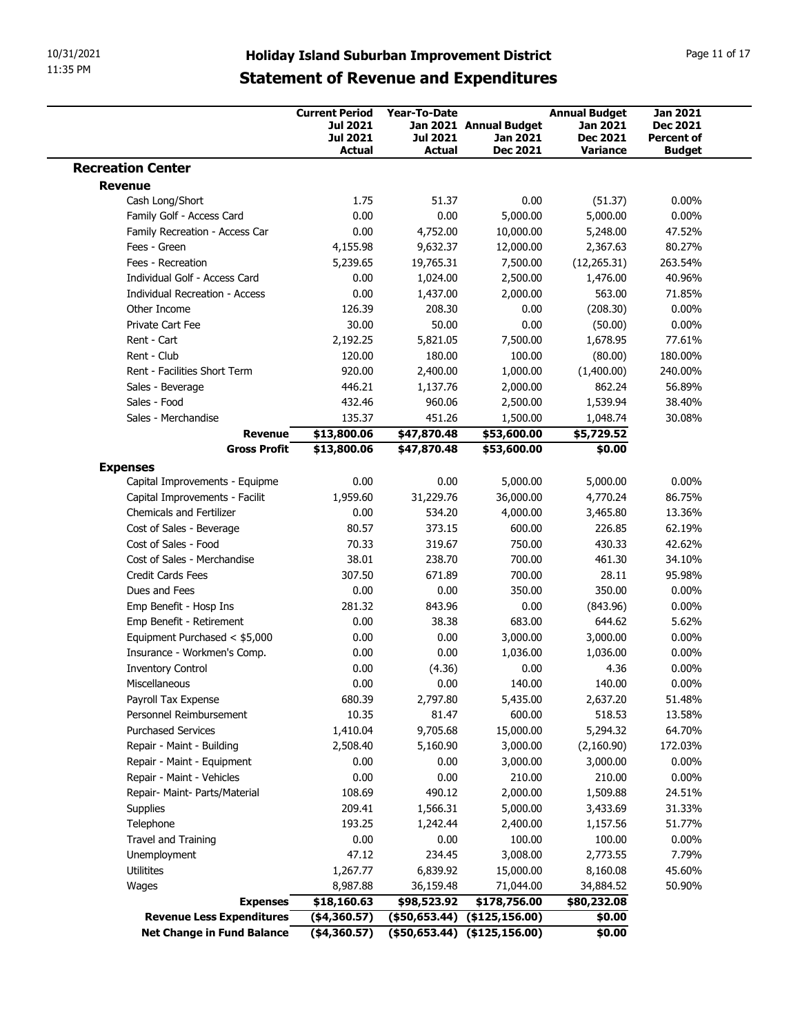|                                                                   |                                                             |                                 | <b>Holiday Island Suburban Improvement District</b><br><b>Statement of Revenue and Expenditures</b> |                                                     | Page 11 of 17                                           |
|-------------------------------------------------------------------|-------------------------------------------------------------|---------------------------------|-----------------------------------------------------------------------------------------------------|-----------------------------------------------------|---------------------------------------------------------|
|                                                                   | <b>Current Period</b><br><b>Jul 2021</b><br><b>Jul 2021</b> | <b>Year-To-Date</b><br>Jul 2021 | Jan 2021 Annual Budget<br>Jan 2021                                                                  | <b>Annual Budget</b><br>Jan 2021<br><b>Dec 2021</b> | <b>Jan 2021</b><br><b>Dec 2021</b><br><b>Percent of</b> |
| <b>Recreation Center</b>                                          | <b>Actual</b>                                               | <b>Actual</b>                   | Dec 2021                                                                                            | Variance                                            | <b>Budget</b>                                           |
| <b>Revenue</b>                                                    |                                                             |                                 |                                                                                                     |                                                     |                                                         |
| Cash Long/Short                                                   | 1.75                                                        | 51.37                           | 0.00                                                                                                | (51.37)                                             | $0.00\%$                                                |
| Family Golf - Access Card                                         | 0.00                                                        | 0.00                            | 5,000.00                                                                                            | 5,000.00                                            | $0.00\%$                                                |
| Family Recreation - Access Car<br>Fees - Green                    | 0.00                                                        | 4,752.00                        | 10,000.00                                                                                           | 5,248.00                                            | 47.52%<br>80.27%                                        |
| Fees - Recreation                                                 | 4,155.98<br>5,239.65                                        | 9,632.37<br>19,765.31           | 12,000.00<br>7,500.00                                                                               | 2,367.63<br>(12, 265.31)                            | 263.54%                                                 |
| Individual Golf - Access Card                                     | 0.00                                                        | 1,024.00                        | 2,500.00                                                                                            | 1,476.00                                            | 40.96%                                                  |
| Individual Recreation - Access                                    | 0.00                                                        | 1,437.00                        | 2,000.00                                                                                            | 563.00                                              | 71.85%                                                  |
| Other Income                                                      | 126.39                                                      | 208.30                          | 0.00                                                                                                | (208.30)                                            | $0.00\%$                                                |
| Private Cart Fee                                                  | 30.00                                                       | 50.00                           | 0.00                                                                                                | (50.00)                                             | $0.00\%$                                                |
| Rent - Cart                                                       | 2,192.25                                                    | 5,821.05                        | 7,500.00                                                                                            | 1,678.95                                            | 77.61%                                                  |
| Rent - Club                                                       | 120.00                                                      | 180.00                          | 100.00                                                                                              | (80.00)                                             | 180.00%                                                 |
| Rent - Facilities Short Term                                      | 920.00                                                      | 2,400.00                        | 1,000.00                                                                                            | (1,400.00)                                          | 240.00%                                                 |
| Sales - Beverage<br>Sales - Food                                  | 446.21<br>432.46                                            | 1,137.76<br>960.06              | 2,000.00<br>2,500.00                                                                                | 862.24<br>1,539.94                                  | 56.89%<br>38.40%                                        |
| Sales - Merchandise                                               | 135.37                                                      | 451.26                          | 1,500.00                                                                                            | 1,048.74                                            | 30.08%                                                  |
| <b>Revenue</b>                                                    | \$13,800.06                                                 | \$47,870.48                     | \$53,600.00                                                                                         | \$5,729.52                                          |                                                         |
| <b>Gross Profit</b>                                               | \$13,800.06                                                 | \$47,870.48                     | \$53,600.00                                                                                         | \$0.00                                              |                                                         |
| <b>Expenses</b>                                                   |                                                             |                                 |                                                                                                     |                                                     |                                                         |
| Capital Improvements - Equipme                                    | 0.00                                                        | 0.00                            | 5,000.00                                                                                            | 5,000.00                                            | $0.00\%$                                                |
| Capital Improvements - Facilit<br><b>Chemicals and Fertilizer</b> | 1,959.60<br>0.00                                            | 31,229.76<br>534.20             | 36,000.00<br>4,000.00                                                                               | 4,770.24<br>3,465.80                                | 86.75%<br>13.36%                                        |
| Cost of Sales - Beverage                                          | 80.57                                                       | 373.15                          | 600.00                                                                                              | 226.85                                              | 62.19%                                                  |
| Cost of Sales - Food                                              | 70.33                                                       | 319.67                          | 750.00                                                                                              | 430.33                                              | 42.62%                                                  |
| Cost of Sales - Merchandise                                       | 38.01                                                       | 238.70                          | 700.00                                                                                              | 461.30                                              | 34.10%                                                  |
| Credit Cards Fees                                                 | 307.50                                                      | 671.89                          | 700.00                                                                                              | 28.11                                               | 95.98%                                                  |
| Dues and Fees                                                     | 0.00                                                        | 0.00                            | 350.00                                                                                              | 350.00                                              | $0.00\%$                                                |
| Emp Benefit - Hosp Ins                                            | 281.32                                                      | 843.96                          | 0.00                                                                                                | (843.96)                                            | $0.00\%$                                                |
| Emp Benefit - Retirement<br>Equipment Purchased < \$5,000         | 0.00<br>0.00                                                | 38.38<br>0.00                   | 683.00<br>3,000.00                                                                                  | 644.62<br>3,000.00                                  | 5.62%<br>$0.00\%$                                       |
| Insurance - Workmen's Comp.                                       | 0.00                                                        | 0.00                            | 1,036.00                                                                                            | 1,036.00                                            | $0.00\%$                                                |
| <b>Inventory Control</b>                                          | 0.00                                                        | (4.36)                          | 0.00                                                                                                | 4.36                                                | $0.00\%$                                                |
| Miscellaneous                                                     | 0.00                                                        | 0.00                            | 140.00                                                                                              | 140.00                                              | $0.00\%$                                                |
| Payroll Tax Expense                                               | 680.39                                                      | 2,797.80                        | 5,435.00                                                                                            | 2,637.20                                            | 51.48%                                                  |
| Personnel Reimbursement                                           | 10.35                                                       | 81.47                           | 600.00                                                                                              | 518.53                                              | 13.58%                                                  |
| <b>Purchased Services</b>                                         | 1,410.04                                                    | 9,705.68                        | 15,000.00                                                                                           | 5,294.32                                            | 64.70%                                                  |
| Repair - Maint - Building<br>Repair - Maint - Equipment           | 2,508.40<br>0.00                                            | 5,160.90<br>0.00                | 3,000.00<br>3,000.00                                                                                | (2,160.90)<br>3,000.00                              | 172.03%<br>$0.00\%$                                     |
|                                                                   | 0.00                                                        | 0.00                            | 210.00                                                                                              | 210.00                                              | $0.00\%$                                                |
|                                                                   | 108.69                                                      | 490.12                          | 2,000.00                                                                                            | 1,509.88                                            | 24.51%                                                  |
| Repair - Maint - Vehicles                                         |                                                             | 1,566.31                        | 5,000.00                                                                                            | 3,433.69                                            | 31.33%                                                  |
| Repair- Maint- Parts/Material                                     | 209.41                                                      |                                 |                                                                                                     |                                                     |                                                         |
| Supplies<br>Telephone                                             | 193.25                                                      | 1,242.44                        | 2,400.00                                                                                            | 1,157.56                                            | 51.77%                                                  |
| Travel and Training                                               | 0.00                                                        | 0.00                            | 100.00                                                                                              | 100.00                                              | 0.00%                                                   |
| Unemployment                                                      | 47.12                                                       | 234.45                          | 3,008.00                                                                                            | 2,773.55                                            | 7.79%                                                   |
| Utilitites                                                        | 1,267.77                                                    | 6,839.92                        | 15,000.00                                                                                           | 8,160.08                                            | 45.60%                                                  |
| Wages                                                             | 8,987.88                                                    | 36,159.48                       | 71,044.00                                                                                           | 34,884.52                                           | 50.90%                                                  |
| <b>Expenses</b><br><b>Revenue Less Expenditures</b>               | \$18,160.63<br>$($ \$4,360.57)                              | \$98,523.92                     | \$178,756.00<br>$($ \$50,653.44) $($ \$125,156.00)                                                  | \$80,232.08<br>\$0.00                               |                                                         |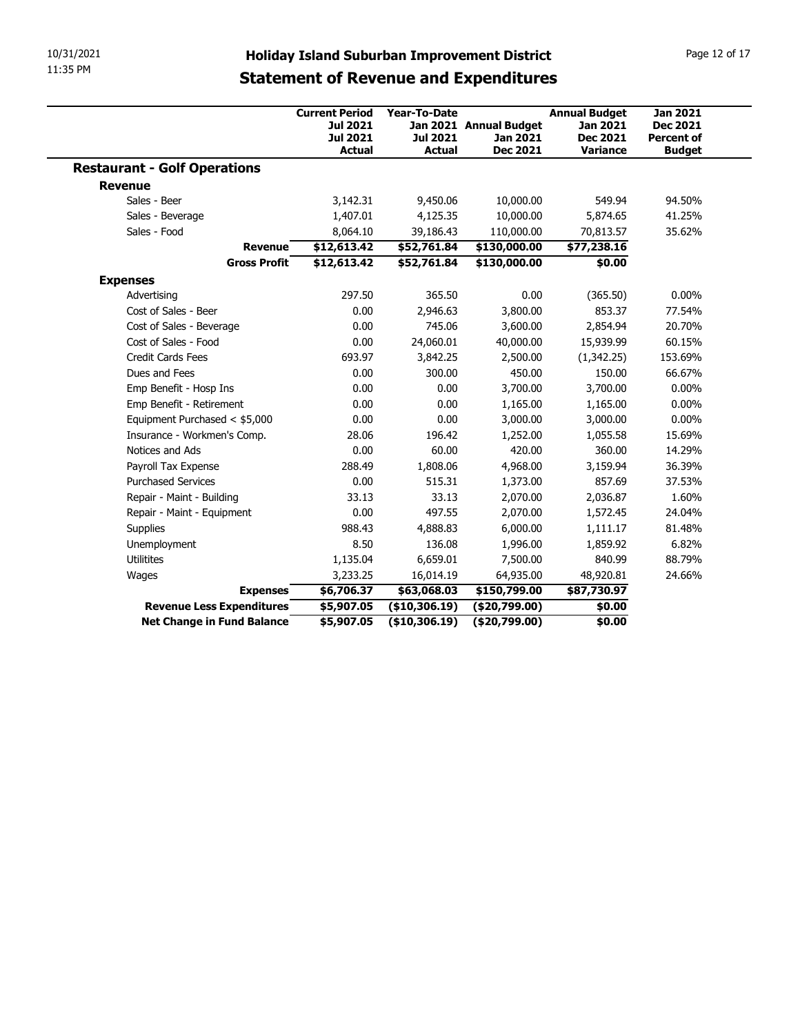| 10/31/2021<br>11:35 PM              |                                                                |                                           |                                                                                                     |                                                                        |                                                                          |
|-------------------------------------|----------------------------------------------------------------|-------------------------------------------|-----------------------------------------------------------------------------------------------------|------------------------------------------------------------------------|--------------------------------------------------------------------------|
|                                     |                                                                |                                           | <b>Holiday Island Suburban Improvement District</b><br><b>Statement of Revenue and Expenditures</b> |                                                                        | Page 12 of 17                                                            |
|                                     | <b>Current Period</b><br>Jul 2021<br>Jul 2021<br><b>Actual</b> | Year-To-Date<br>Jul 2021<br><b>Actual</b> | Jan 2021 Annual Budget<br>Jan 2021<br>Dec 2021                                                      | <b>Annual Budget</b><br><b>Jan 2021</b><br><b>Dec 2021</b><br>Variance | <b>Jan 2021</b><br><b>Dec 2021</b><br><b>Percent of</b><br><b>Budget</b> |
| <b>Restaurant - Golf Operations</b> |                                                                |                                           |                                                                                                     |                                                                        |                                                                          |
| <b>Revenue</b>                      |                                                                |                                           |                                                                                                     |                                                                        |                                                                          |
| Sales - Beer                        | 3,142.31                                                       | 9,450.06                                  | 10,000.00                                                                                           | 549.94                                                                 | 94.50%                                                                   |
| Sales - Beverage                    | 1,407.01                                                       | 4,125.35                                  | 10,000.00                                                                                           | 5,874.65                                                               | 41.25%                                                                   |
| Sales - Food                        | 8,064.10                                                       | 39,186.43                                 | 110,000.00                                                                                          | 70,813.57                                                              | 35.62%                                                                   |
| <b>Revenue</b>                      | \$12,613.42                                                    | \$52,761.84                               | \$130,000.00                                                                                        | \$77,238.16                                                            |                                                                          |
| <b>Gross Profit</b>                 | \$12,613.42                                                    | \$52,761.84                               | \$130,000.00                                                                                        | \$0.00                                                                 |                                                                          |
| <b>Expenses</b>                     |                                                                |                                           |                                                                                                     |                                                                        |                                                                          |
| Advertising                         | 297.50                                                         | 365.50                                    | $0.00\,$                                                                                            | (365.50)                                                               | $0.00\%$                                                                 |
| Cost of Sales - Beer                | 0.00                                                           | 2,946.63                                  | 3,800.00                                                                                            | 853.37                                                                 | 77.54%                                                                   |
| Cost of Sales - Beverage            | 0.00                                                           | 745.06                                    | 3,600.00                                                                                            | 2,854.94                                                               | 20.70%                                                                   |
| Cost of Sales - Food                | 0.00                                                           | 24,060.01                                 | 40,000.00                                                                                           | 15,939.99                                                              | 60.15%                                                                   |
| Credit Cards Fees                   | 693.97                                                         | 3,842.25                                  | 2,500.00                                                                                            | (1,342.25)                                                             | 153.69%                                                                  |
| Dues and Fees                       | 0.00                                                           | 300.00                                    | 450.00                                                                                              | 150.00                                                                 | 66.67%                                                                   |
| Emp Benefit - Hosp Ins              | 0.00                                                           | 0.00                                      | 3,700.00                                                                                            | 3,700.00                                                               | $0.00\%$                                                                 |
| Emp Benefit - Retirement            | 0.00                                                           | 0.00                                      | 1,165.00                                                                                            | 1,165.00                                                               | $0.00\%$                                                                 |
| Equipment Purchased < \$5,000       | 0.00                                                           | 0.00                                      | 3,000.00                                                                                            | 3,000.00                                                               | $0.00\%$                                                                 |
| Insurance - Workmen's Comp.         | 28.06                                                          | 196.42                                    | 1,252.00                                                                                            | 1,055.58                                                               | 15.69%                                                                   |
| Notices and Ads                     | 0.00                                                           | 60.00                                     | 420.00                                                                                              | 360.00                                                                 | 14.29%                                                                   |
| Payroll Tax Expense                 | 288.49                                                         | 1,808.06                                  | 4,968.00                                                                                            | 3,159.94                                                               | 36.39%                                                                   |
| <b>Purchased Services</b>           | 0.00                                                           | 515.31                                    | 1,373.00                                                                                            | 857.69                                                                 | 37.53%                                                                   |
| Repair - Maint - Building           | 33.13                                                          | 33.13                                     | 2,070.00                                                                                            | 2,036.87                                                               | 1.60%                                                                    |
| Repair - Maint - Equipment          | 0.00                                                           | 497.55                                    | 2,070.00                                                                                            | 1,572.45                                                               | 24.04%                                                                   |
| Supplies                            | 988.43                                                         | 4,888.83                                  | 6,000.00                                                                                            | 1,111.17                                                               | 81.48%                                                                   |
| Unemployment                        | 8.50                                                           | 136.08                                    | 1,996.00                                                                                            | 1,859.92                                                               | 6.82%                                                                    |
|                                     | 1,135.04                                                       | 6,659.01                                  | 7,500.00                                                                                            | 840.99                                                                 | 88.79%                                                                   |
| Utilitites                          | 3,233.25                                                       | 16,014.19                                 | 64,935.00                                                                                           | 48,920.81                                                              | 24.66%                                                                   |
| Wages                               |                                                                | \$63,068.03                               | \$150,799.00                                                                                        | \$87,730.97                                                            |                                                                          |
| <b>Expenses</b>                     | \$6,706.37                                                     | ( \$10, 306.19)                           | (\$20,799.00)                                                                                       | \$0.00                                                                 |                                                                          |
| <b>Revenue Less Expenditures</b>    | \$5,907.05                                                     |                                           |                                                                                                     |                                                                        |                                                                          |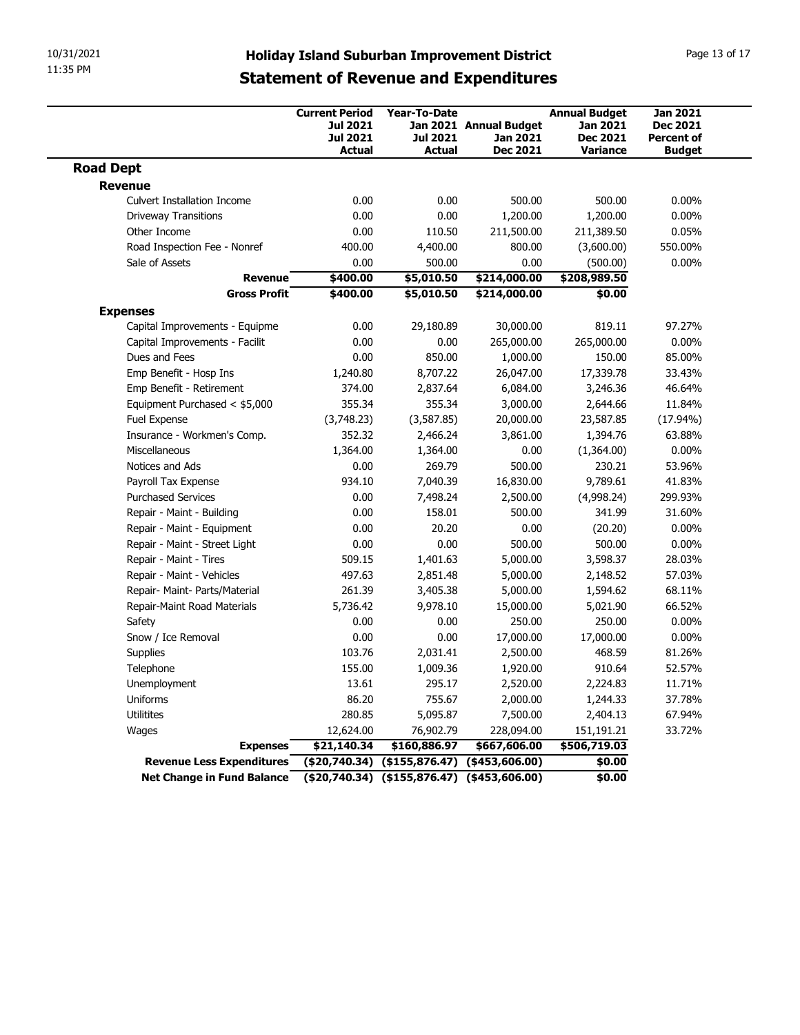| 10/31/2021<br>11:35 PM                              |                                                                                                     |                                                   |                                    |                                                     | Page 13 of 17                                           |  |
|-----------------------------------------------------|-----------------------------------------------------------------------------------------------------|---------------------------------------------------|------------------------------------|-----------------------------------------------------|---------------------------------------------------------|--|
|                                                     | <b>Holiday Island Suburban Improvement District</b><br><b>Statement of Revenue and Expenditures</b> |                                                   |                                    |                                                     |                                                         |  |
|                                                     | <b>Current Period</b><br>Jul 2021<br><b>Jul 2021</b>                                                | <b>Year-To-Date</b><br>Jul 2021                   | Jan 2021 Annual Budget<br>Jan 2021 | <b>Annual Budget</b><br>Jan 2021<br><b>Dec 2021</b> | <b>Jan 2021</b><br><b>Dec 2021</b><br><b>Percent of</b> |  |
| <b>Road Dept</b>                                    | <b>Actual</b>                                                                                       | <b>Actual</b>                                     | Dec 2021                           | <b>Variance</b>                                     | <b>Budget</b>                                           |  |
| <b>Revenue</b>                                      |                                                                                                     |                                                   |                                    |                                                     |                                                         |  |
| <b>Culvert Installation Income</b>                  | 0.00                                                                                                | 0.00                                              | 500.00                             | 500.00                                              | $0.00\%$                                                |  |
| <b>Driveway Transitions</b>                         | 0.00                                                                                                | 0.00                                              | 1,200.00                           | 1,200.00                                            | $0.00\%$                                                |  |
| Other Income                                        | 0.00                                                                                                | 110.50                                            | 211,500.00                         | 211,389.50                                          | 0.05%                                                   |  |
| Road Inspection Fee - Nonref<br>Sale of Assets      | 400.00                                                                                              | 4,400.00                                          | 800.00                             | (3,600.00)                                          | 550.00%                                                 |  |
| <b>Revenue</b>                                      | 0.00<br>\$400.00                                                                                    | 500.00<br>\$5,010.50                              | 0.00<br>\$214,000.00               | (500.00)<br>\$208,989.50                            | $0.00\%$                                                |  |
| <b>Gross Profit</b>                                 | \$400.00                                                                                            | \$5,010.50                                        | \$214,000.00                       | \$0.00                                              |                                                         |  |
| <b>Expenses</b>                                     |                                                                                                     |                                                   |                                    |                                                     |                                                         |  |
| Capital Improvements - Equipme                      | 0.00                                                                                                | 29,180.89                                         | 30,000.00                          | 819.11                                              | 97.27%                                                  |  |
| Capital Improvements - Facilit                      | 0.00                                                                                                | 0.00                                              | 265,000.00                         | 265,000.00                                          | $0.00\%$                                                |  |
| Dues and Fees                                       | 0.00                                                                                                | 850.00                                            | 1,000.00                           | 150.00                                              | 85.00%                                                  |  |
| Emp Benefit - Hosp Ins                              | 1,240.80                                                                                            | 8,707.22                                          | 26,047.00                          | 17,339.78                                           | 33.43%                                                  |  |
| Emp Benefit - Retirement                            | 374.00                                                                                              | 2,837.64                                          | 6,084.00                           | 3,246.36                                            | 46.64%                                                  |  |
| Equipment Purchased < \$5,000<br>Fuel Expense       | 355.34<br>(3,748.23)                                                                                | 355.34<br>(3,587.85)                              | 3,000.00<br>20,000.00              | 2,644.66<br>23,587.85                               | 11.84%<br>(17.94%)                                      |  |
| Insurance - Workmen's Comp.                         | 352.32                                                                                              | 2,466.24                                          | 3,861.00                           | 1,394.76                                            | 63.88%                                                  |  |
| Miscellaneous                                       | 1,364.00                                                                                            | 1,364.00                                          | 0.00                               | (1,364.00)                                          | $0.00\%$                                                |  |
| Notices and Ads                                     | 0.00                                                                                                | 269.79                                            | 500.00                             | 230.21                                              | 53.96%                                                  |  |
| Payroll Tax Expense                                 | 934.10                                                                                              | 7,040.39                                          | 16,830.00                          | 9,789.61                                            | 41.83%                                                  |  |
| <b>Purchased Services</b>                           | 0.00                                                                                                | 7,498.24                                          | 2,500.00                           | (4,998.24)                                          | 299.93%                                                 |  |
| Repair - Maint - Building                           | 0.00                                                                                                | 158.01                                            | 500.00                             | 341.99                                              | 31.60%                                                  |  |
| Repair - Maint - Equipment                          | 0.00                                                                                                | 20.20                                             | 0.00                               | (20.20)                                             | $0.00\%$                                                |  |
| Repair - Maint - Street Light                       | 0.00                                                                                                | 0.00                                              | 500.00                             | 500.00                                              | $0.00\%$                                                |  |
| Repair - Maint - Tires<br>Repair - Maint - Vehicles | 509.15<br>497.63                                                                                    | 1,401.63<br>2,851.48                              | 5,000.00<br>5,000.00               | 3,598.37<br>2,148.52                                | 28.03%<br>57.03%                                        |  |
| Repair- Maint- Parts/Material                       | 261.39                                                                                              | 3,405.38                                          | 5,000.00                           | 1,594.62                                            | 68.11%                                                  |  |
| Repair-Maint Road Materials                         | 5,736.42                                                                                            | 9,978.10                                          | 15,000.00                          | 5,021.90                                            | 66.52%                                                  |  |
| Safety                                              | 0.00                                                                                                | 0.00                                              | 250.00                             | 250.00                                              | $0.00\%$                                                |  |
| Snow / Ice Removal                                  | 0.00                                                                                                | 0.00                                              | 17,000.00                          | 17,000.00                                           | $0.00\%$                                                |  |
| Supplies                                            | 103.76                                                                                              | 2,031.41                                          | 2,500.00                           | 468.59                                              | 81.26%                                                  |  |
| Telephone                                           | 155.00                                                                                              | 1,009.36                                          | 1,920.00                           | 910.64                                              | 52.57%                                                  |  |
| Unemployment                                        | 13.61                                                                                               | 295.17                                            | 2,520.00                           | 2,224.83                                            | 11.71%                                                  |  |
| Uniforms                                            | 86.20                                                                                               | 755.67                                            | 2,000.00                           | 1,244.33                                            | 37.78%                                                  |  |
| Utilitites                                          | 280.85                                                                                              | 5,095.87                                          | 7,500.00                           | 2,404.13                                            | 67.94%                                                  |  |
| Wages                                               | 12,624.00                                                                                           | 76,902.79                                         | 228,094.00                         | 151,191.21                                          | 33.72%                                                  |  |
|                                                     | \$21,140.34                                                                                         | \$160,886.97                                      | \$667,606.00                       | \$506,719.03                                        |                                                         |  |
| <b>Expenses</b>                                     |                                                                                                     |                                                   |                                    |                                                     |                                                         |  |
| <b>Revenue Less Expenditures</b>                    |                                                                                                     | $( $20,740.34)$ $( $155,876.47)$ $( $453,606.00)$ |                                    | \$0.00                                              |                                                         |  |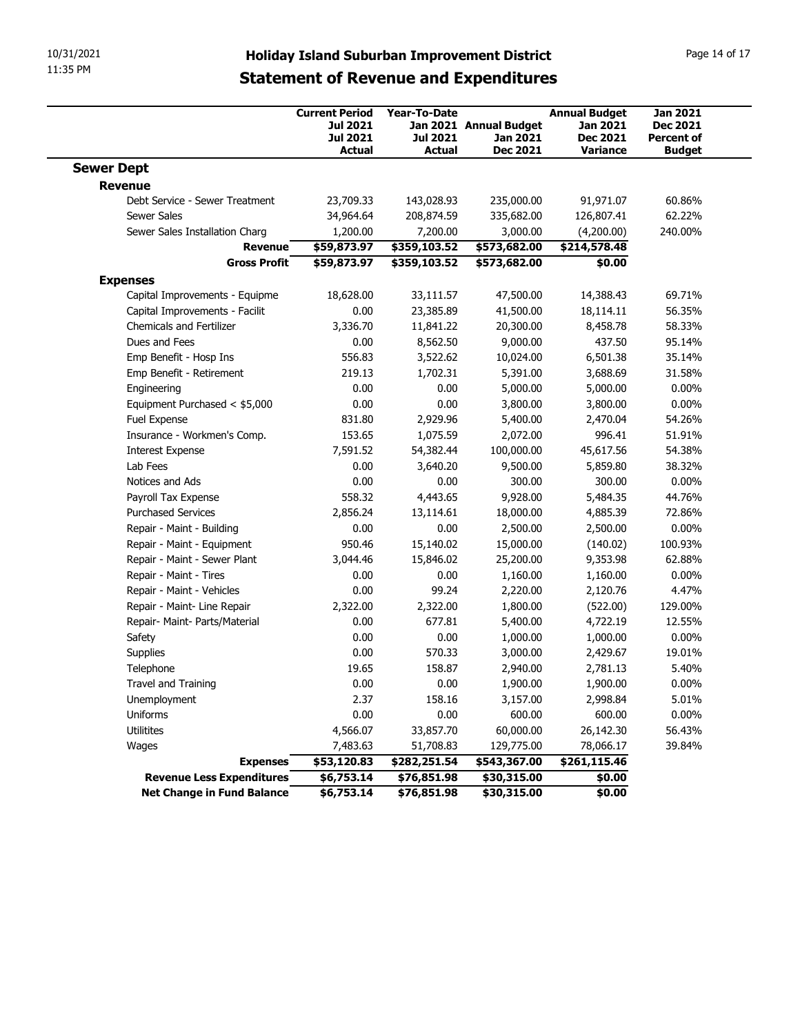| 11:35 PM                                               | <b>Holiday Island Suburban Improvement District</b>                   |                                                  |                                                       |                                                                        | Page 14 of 17                                                     |
|--------------------------------------------------------|-----------------------------------------------------------------------|--------------------------------------------------|-------------------------------------------------------|------------------------------------------------------------------------|-------------------------------------------------------------------|
|                                                        | <b>Statement of Revenue and Expenditures</b>                          |                                                  |                                                       |                                                                        |                                                                   |
|                                                        | <b>Current Period</b><br>Jul 2021<br><b>Jul 2021</b><br><b>Actual</b> | <b>Year-To-Date</b><br><b>Jul 2021</b><br>Actual | Jan 2021 Annual Budget<br>Jan 2021<br><b>Dec 2021</b> | <b>Annual Budget</b><br>Jan 2021<br><b>Dec 2021</b><br><b>Variance</b> | <b>Jan 2021</b><br>Dec 2021<br><b>Percent of</b><br><b>Budget</b> |
| <b>Sewer Dept</b>                                      |                                                                       |                                                  |                                                       |                                                                        |                                                                   |
| <b>Revenue</b>                                         |                                                                       |                                                  |                                                       |                                                                        |                                                                   |
| Debt Service - Sewer Treatment<br><b>Sewer Sales</b>   | 23,709.33<br>34,964.64                                                | 143,028.93<br>208,874.59                         | 235,000.00<br>335,682.00                              | 91,971.07<br>126,807.41                                                | 60.86%<br>62.22%                                                  |
| Sewer Sales Installation Charg                         | 1,200.00                                                              | 7,200.00                                         | 3,000.00                                              | (4,200.00)                                                             | 240.00%                                                           |
| Revenue                                                | \$59,873.97                                                           | \$359,103.52                                     | \$573,682.00                                          | \$214,578.48                                                           |                                                                   |
| <b>Gross Profit</b>                                    | \$59,873.97                                                           | \$359,103.52                                     | \$573,682.00                                          | \$0.00                                                                 |                                                                   |
| <b>Expenses</b>                                        |                                                                       |                                                  |                                                       |                                                                        |                                                                   |
| Capital Improvements - Equipme                         | 18,628.00                                                             | 33,111.57                                        | 47,500.00                                             | 14,388.43                                                              | 69.71%                                                            |
| Capital Improvements - Facilit                         | 0.00                                                                  | 23,385.89                                        | 41,500.00                                             | 18,114.11                                                              | 56.35%                                                            |
| Chemicals and Fertilizer                               | 3,336.70                                                              | 11,841.22                                        | 20,300.00                                             | 8,458.78                                                               | 58.33%                                                            |
| Dues and Fees                                          | 0.00                                                                  | 8,562.50                                         | 9,000.00                                              | 437.50                                                                 | 95.14%                                                            |
| Emp Benefit - Hosp Ins                                 | 556.83                                                                | 3,522.62                                         | 10,024.00                                             | 6,501.38                                                               | 35.14%                                                            |
| Emp Benefit - Retirement<br>Engineering                | 219.13<br>0.00                                                        | 1,702.31<br>0.00                                 | 5,391.00<br>5,000.00                                  | 3,688.69<br>5,000.00                                                   | 31.58%<br>$0.00\%$                                                |
| Equipment Purchased < \$5,000                          | 0.00                                                                  | 0.00                                             | 3,800.00                                              | 3,800.00                                                               | $0.00\%$                                                          |
| Fuel Expense                                           | 831.80                                                                | 2,929.96                                         | 5,400.00                                              | 2,470.04                                                               | 54.26%                                                            |
| Insurance - Workmen's Comp.                            | 153.65                                                                | 1,075.59                                         | 2,072.00                                              | 996.41                                                                 | 51.91%                                                            |
| <b>Interest Expense</b>                                | 7,591.52                                                              | 54,382.44                                        | 100,000.00                                            | 45,617.56                                                              | 54.38%                                                            |
| Lab Fees                                               | 0.00                                                                  | 3,640.20                                         | 9,500.00                                              | 5,859.80                                                               | 38.32%                                                            |
| Notices and Ads                                        | 0.00                                                                  | 0.00                                             | 300.00                                                | 300.00                                                                 | $0.00\%$                                                          |
| Payroll Tax Expense                                    | 558.32                                                                | 4,443.65                                         | 9,928.00                                              | 5,484.35                                                               | 44.76%                                                            |
| <b>Purchased Services</b><br>Repair - Maint - Building | 2,856.24<br>0.00                                                      | 13,114.61<br>0.00                                | 18,000.00<br>2,500.00                                 | 4,885.39<br>2,500.00                                                   | 72.86%<br>$0.00\%$                                                |
| Repair - Maint - Equipment                             | 950.46                                                                | 15,140.02                                        | 15,000.00                                             | (140.02)                                                               | 100.93%                                                           |
| Repair - Maint - Sewer Plant                           | 3,044.46                                                              | 15,846.02                                        | 25,200.00                                             | 9,353.98                                                               | 62.88%                                                            |
| Repair - Maint - Tires                                 | 0.00                                                                  | 0.00                                             | 1,160.00                                              | 1,160.00                                                               | $0.00\%$                                                          |
| Repair - Maint - Vehicles                              | 0.00                                                                  | 99.24                                            | 2,220.00                                              | 2,120.76                                                               | 4.47%                                                             |
| Repair - Maint- Line Repair                            | 2,322.00                                                              | 2,322.00                                         | 1,800.00                                              | (522.00)                                                               | 129.00%                                                           |
| Repair- Maint- Parts/Material                          | 0.00                                                                  | 677.81                                           | 5,400.00                                              | 4,722.19                                                               | 12.55%                                                            |
| Safety                                                 | 0.00                                                                  | 0.00                                             | 1,000.00                                              | 1,000.00                                                               | $0.00\%$                                                          |
| Supplies                                               | 0.00                                                                  | 570.33                                           | 3,000.00                                              | 2,429.67                                                               | 19.01%                                                            |
| Telephone                                              | 19.65                                                                 | 158.87                                           | 2,940.00                                              | 2,781.13                                                               | 5.40%                                                             |
| Travel and Training                                    | 0.00                                                                  | 0.00                                             | 1,900.00                                              | 1,900.00                                                               | $0.00\%$                                                          |
| Unemployment                                           | 2.37                                                                  | 158.16                                           | 3,157.00                                              | 2,998.84                                                               | 5.01%                                                             |
| Uniforms                                               | 0.00                                                                  | 0.00                                             | 600.00                                                | 600.00                                                                 | $0.00\%$                                                          |
| Utilitites                                             | 4,566.07                                                              | 33,857.70                                        | 60,000.00                                             | 26,142.30                                                              | 56.43%                                                            |
|                                                        | 7,483.63                                                              | 51,708.83                                        | 129,775.00                                            | 78,066.17                                                              | 39.84%                                                            |
| Wages                                                  |                                                                       | \$282,251.54                                     | \$543,367.00                                          | \$261,115.46                                                           |                                                                   |
| <b>Expenses</b><br><b>Revenue Less Expenditures</b>    | \$53,120.83<br>\$6,753.14                                             | \$76,851.98                                      | \$30,315.00                                           | \$0.00                                                                 |                                                                   |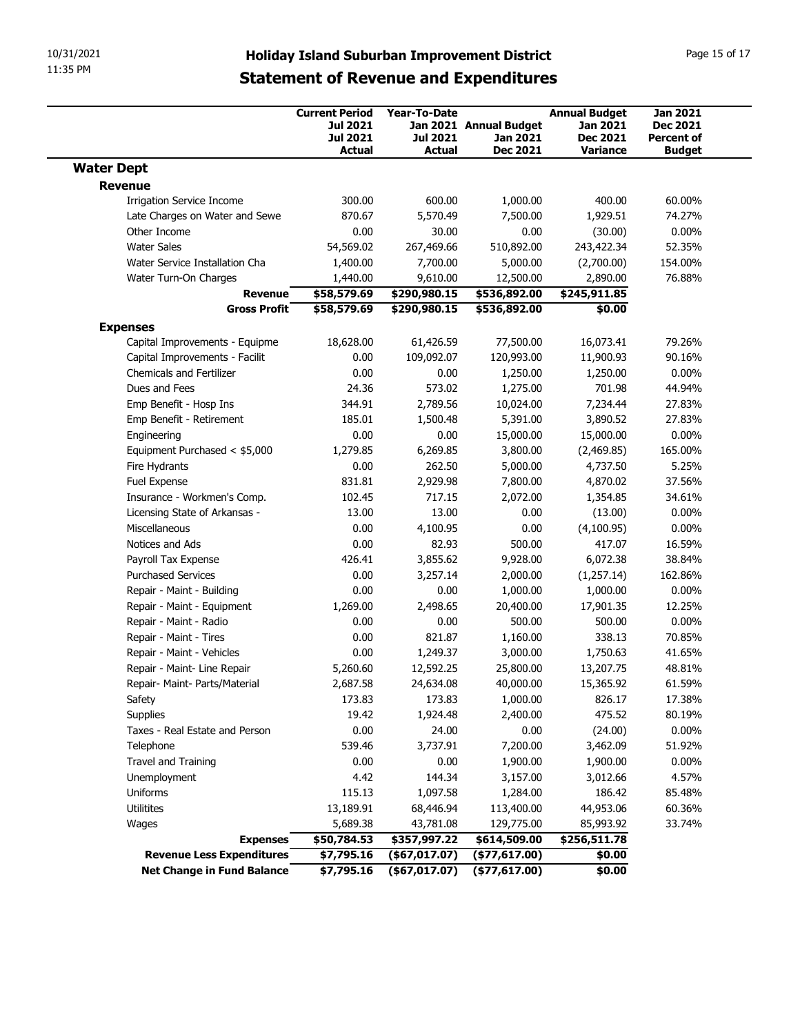| 11:35 PM                                                         | 10/31/2021<br><b>Holiday Island Suburban Improvement District</b><br><b>Statement of Revenue and Expenditures</b> |                                                                              |                                                  |                                                       |                                                                 |                                                                   |
|------------------------------------------------------------------|-------------------------------------------------------------------------------------------------------------------|------------------------------------------------------------------------------|--------------------------------------------------|-------------------------------------------------------|-----------------------------------------------------------------|-------------------------------------------------------------------|
|                                                                  |                                                                                                                   | <b>Current Period</b><br><b>Jul 2021</b><br><b>Jul 2021</b><br><b>Actual</b> | <b>Year-To-Date</b><br><b>Jul 2021</b><br>Actual | Jan 2021 Annual Budget<br>Jan 2021<br><b>Dec 2021</b> | <b>Annual Budget</b><br>Jan 2021<br><b>Dec 2021</b><br>Variance | <b>Jan 2021</b><br>Dec 2021<br><b>Percent of</b><br><b>Budget</b> |
| <b>Water Dept</b>                                                |                                                                                                                   |                                                                              |                                                  |                                                       |                                                                 |                                                                   |
| Revenue                                                          |                                                                                                                   |                                                                              |                                                  |                                                       |                                                                 |                                                                   |
| <b>Irrigation Service Income</b>                                 |                                                                                                                   | 300.00                                                                       | 600.00                                           | 1,000.00                                              | 400.00                                                          | 60.00%                                                            |
|                                                                  | Late Charges on Water and Sewe                                                                                    | 870.67                                                                       | 5,570.49                                         | 7,500.00                                              | 1,929.51                                                        | 74.27%                                                            |
| Other Income<br><b>Water Sales</b>                               |                                                                                                                   | 0.00<br>54,569.02                                                            | 30.00<br>267,469.66                              | 0.00<br>510,892.00                                    | (30.00)<br>243,422.34                                           | $0.00\%$<br>52.35%                                                |
| Water Service Installation Cha                                   |                                                                                                                   | 1,400.00                                                                     | 7,700.00                                         | 5,000.00                                              | (2,700.00)                                                      | 154.00%                                                           |
| Water Turn-On Charges                                            |                                                                                                                   | 1,440.00                                                                     | 9,610.00                                         | 12,500.00                                             | 2,890.00                                                        | 76.88%                                                            |
|                                                                  | <b>Revenue</b>                                                                                                    | \$58,579.69                                                                  | \$290,980.15                                     | \$536,892.00                                          | \$245,911.85                                                    |                                                                   |
|                                                                  | <b>Gross Profit</b>                                                                                               | \$58,579.69                                                                  | \$290,980.15                                     | \$536,892.00                                          | \$0.00                                                          |                                                                   |
| <b>Expenses</b>                                                  |                                                                                                                   |                                                                              |                                                  |                                                       |                                                                 |                                                                   |
| Capital Improvements - Equipme<br>Capital Improvements - Facilit |                                                                                                                   | 18,628.00<br>0.00                                                            | 61,426.59<br>109,092.07                          | 77,500.00<br>120,993.00                               | 16,073.41<br>11,900.93                                          | 79.26%<br>90.16%                                                  |
| Chemicals and Fertilizer                                         |                                                                                                                   | 0.00                                                                         | 0.00                                             | 1,250.00                                              | 1,250.00                                                        | $0.00\%$                                                          |
| Dues and Fees                                                    |                                                                                                                   | 24.36                                                                        | 573.02                                           | 1,275.00                                              | 701.98                                                          | 44.94%                                                            |
| Emp Benefit - Hosp Ins                                           |                                                                                                                   | 344.91                                                                       | 2,789.56                                         | 10,024.00                                             | 7,234.44                                                        | 27.83%                                                            |
| Emp Benefit - Retirement                                         |                                                                                                                   | 185.01                                                                       | 1,500.48                                         | 5,391.00                                              | 3,890.52                                                        | 27.83%                                                            |
| Engineering                                                      |                                                                                                                   | 0.00                                                                         | 0.00                                             | 15,000.00                                             | 15,000.00                                                       | $0.00\%$                                                          |
| Equipment Purchased < \$5,000                                    |                                                                                                                   | 1,279.85                                                                     | 6,269.85                                         | 3,800.00                                              | (2,469.85)                                                      | 165.00%                                                           |
| Fire Hydrants                                                    |                                                                                                                   | 0.00                                                                         | 262.50                                           | 5,000.00                                              | 4,737.50                                                        | 5.25%<br>37.56%                                                   |
| Fuel Expense<br>Insurance - Workmen's Comp.                      |                                                                                                                   | 831.81<br>102.45                                                             | 2,929.98<br>717.15                               | 7,800.00<br>2,072.00                                  | 4,870.02<br>1,354.85                                            | 34.61%                                                            |
| Licensing State of Arkansas -                                    |                                                                                                                   | 13.00                                                                        | 13.00                                            | 0.00                                                  | (13.00)                                                         | $0.00\%$                                                          |
| Miscellaneous                                                    |                                                                                                                   | 0.00                                                                         | 4,100.95                                         | 0.00                                                  | (4,100.95)                                                      | $0.00\%$                                                          |
| Notices and Ads                                                  |                                                                                                                   | 0.00                                                                         | 82.93                                            | 500.00                                                | 417.07                                                          | 16.59%                                                            |
| Payroll Tax Expense                                              |                                                                                                                   | 426.41                                                                       | 3,855.62                                         | 9,928.00                                              | 6,072.38                                                        | 38.84%                                                            |
| <b>Purchased Services</b>                                        |                                                                                                                   | 0.00                                                                         | 3,257.14                                         | 2,000.00                                              | (1,257.14)                                                      | 162.86%                                                           |
| Repair - Maint - Building                                        |                                                                                                                   | 0.00                                                                         | 0.00                                             | 1,000.00                                              | 1,000.00                                                        | $0.00\%$                                                          |
| Repair - Maint - Equipment                                       |                                                                                                                   | 1,269.00                                                                     | 2,498.65<br>0.00                                 | 20,400.00<br>500.00                                   | 17,901.35<br>500.00                                             | 12.25%<br>$0.00\%$                                                |
| Repair - Maint - Radio<br>Repair - Maint - Tires                 |                                                                                                                   | 0.00<br>0.00                                                                 | 821.87                                           | 1,160.00                                              | 338.13                                                          | 70.85%                                                            |
| Repair - Maint - Vehicles                                        |                                                                                                                   | 0.00                                                                         | 1,249.37                                         | 3,000.00                                              | 1,750.63                                                        | 41.65%                                                            |
| Repair - Maint- Line Repair                                      |                                                                                                                   | 5,260.60                                                                     | 12,592.25                                        | 25,800.00                                             | 13,207.75                                                       | 48.81%                                                            |
| Repair- Maint- Parts/Material                                    |                                                                                                                   | 2,687.58                                                                     | 24,634.08                                        | 40,000.00                                             | 15,365.92                                                       | 61.59%                                                            |
| Safety                                                           |                                                                                                                   | 173.83                                                                       | 173.83                                           | 1,000.00                                              | 826.17                                                          | 17.38%                                                            |
| Supplies                                                         |                                                                                                                   | 19.42                                                                        | 1,924.48                                         | 2,400.00                                              | 475.52                                                          | 80.19%                                                            |
| Taxes - Real Estate and Person                                   |                                                                                                                   | 0.00                                                                         | 24.00                                            | 0.00                                                  | (24.00)                                                         | $0.00\%$                                                          |
| Telephone                                                        |                                                                                                                   | 539.46                                                                       | 3,737.91                                         | 7,200.00                                              | 3,462.09                                                        | 51.92%                                                            |
| Travel and Training                                              |                                                                                                                   | 0.00                                                                         | 0.00                                             | 1,900.00                                              | 1,900.00                                                        | $0.00\%$                                                          |
| Unemployment                                                     |                                                                                                                   | 4.42                                                                         | 144.34                                           | 3,157.00                                              | 3,012.66                                                        | 4.57%                                                             |
| Uniforms                                                         |                                                                                                                   | 115.13                                                                       | 1,097.58                                         | 1,284.00                                              | 186.42                                                          | 85.48%                                                            |
| Utilitites<br>Wages                                              |                                                                                                                   | 13,189.91<br>5,689.38                                                        | 68,446.94<br>43,781.08                           | 113,400.00<br>129,775.00                              | 44,953.06<br>85,993.92                                          | 60.36%<br>33.74%                                                  |
|                                                                  | <b>Expenses</b>                                                                                                   | \$50,784.53                                                                  | \$357,997.22                                     | \$614,509.00                                          | \$256,511.78                                                    |                                                                   |
|                                                                  | <b>Revenue Less Expenditures</b>                                                                                  | \$7,795.16                                                                   | $($ \$67,017.07)                                 | $($ \$77,617.00)                                      | \$0.00                                                          |                                                                   |
|                                                                  |                                                                                                                   |                                                                              |                                                  |                                                       |                                                                 |                                                                   |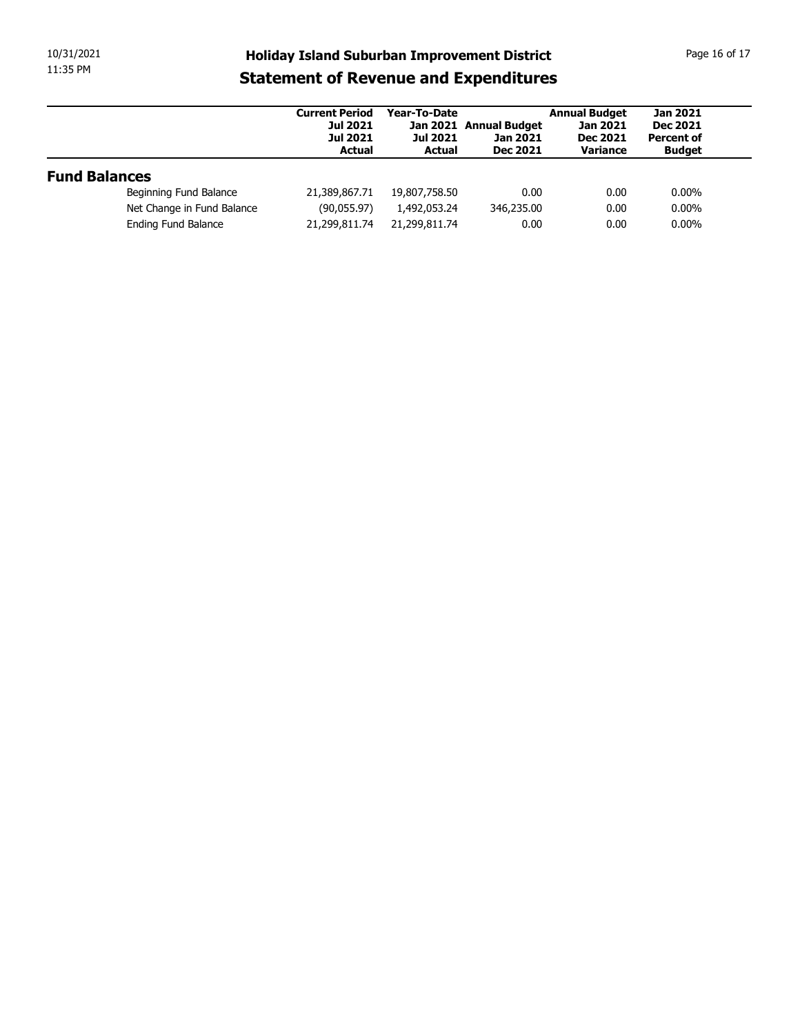| 10/31/2021           |                            |                                                                                                     |                                                  |                                                       |                                                                        | Page 16 of 17                                                            |
|----------------------|----------------------------|-----------------------------------------------------------------------------------------------------|--------------------------------------------------|-------------------------------------------------------|------------------------------------------------------------------------|--------------------------------------------------------------------------|
| 11:35 PM             |                            | <b>Holiday Island Suburban Improvement District</b><br><b>Statement of Revenue and Expenditures</b> |                                                  |                                                       |                                                                        |                                                                          |
|                      |                            | <b>Current Period</b><br><b>Jul 2021</b><br><b>Jul 2021</b><br><b>Actual</b>                        | Year-To-Date<br><b>Jul 2021</b><br><b>Actual</b> | Jan 2021 Annual Budget<br>Jan 2021<br><b>Dec 2021</b> | <b>Annual Budget</b><br><b>Jan 2021</b><br><b>Dec 2021</b><br>Variance | <b>Jan 2021</b><br><b>Dec 2021</b><br><b>Percent of</b><br><b>Budget</b> |
|                      |                            |                                                                                                     |                                                  |                                                       |                                                                        |                                                                          |
| <b>Fund Balances</b> |                            |                                                                                                     |                                                  |                                                       |                                                                        |                                                                          |
|                      | Beginning Fund Balance     | 21,389,867.71                                                                                       | 19,807,758.50                                    | 0.00                                                  | 0.00                                                                   | $0.00\%$                                                                 |
|                      | Net Change in Fund Balance | (90,055.97)                                                                                         | 1,492,053.24                                     | 346,235.00                                            | 0.00                                                                   | $0.00\%$                                                                 |
|                      | Ending Fund Balance        | 21,299,811.74                                                                                       | 21,299,811.74                                    | 0.00                                                  | 0.00                                                                   | $0.00\%$                                                                 |
|                      |                            |                                                                                                     |                                                  |                                                       |                                                                        |                                                                          |
|                      |                            |                                                                                                     |                                                  |                                                       |                                                                        |                                                                          |
|                      |                            |                                                                                                     |                                                  |                                                       |                                                                        |                                                                          |